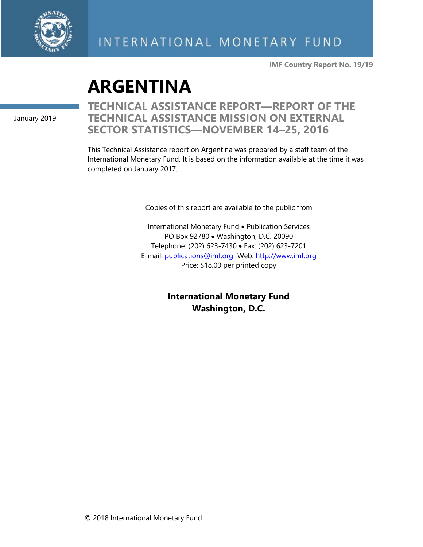

**IMF Country Report No. 19/19**

# **ARGENTINA**

January 2019

**TECHNICAL ASSISTANCE REPORT—REPORT OF THE TECHNICAL ASSISTANCE MISSION ON EXTERNAL SECTOR STATISTICS—NOVEMBER 14–25, 2016**

This Technical Assistance report on Argentina was prepared by a staff team of the International Monetary Fund. It is based on the information available at the time it was completed on January 2017.

Copies of this report are available to the public from

International Monetary Fund • Publication Services PO Box 92780 • Washington, D.C. 20090 Telephone: (202) 623-7430 • Fax: (202) 623-7201 E-mail: [publications@imf.org](mailto:publications@imf.org) Web: [http://www.imf.org](http://www.imf.org/) Price: \$18.00 per printed copy

> **International Monetary Fund Washington, D.C.**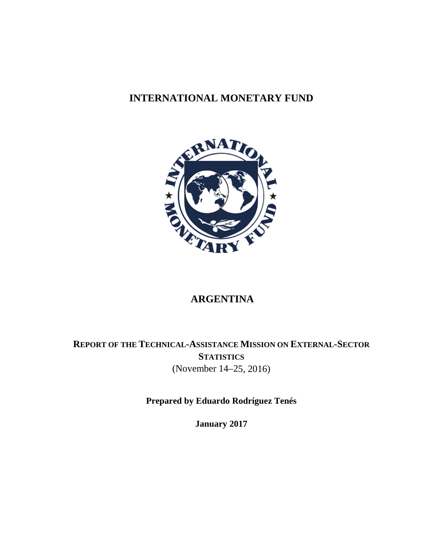## **INTERNATIONAL MONETARY FUND**



## **ARGENTINA**

**REPORT OF THE TECHNICAL-ASSISTANCE MISSION ON EXTERNAL-SECTOR STATISTICS** (November 14–25, 2016)

**Prepared by Eduardo Rodríguez Tenés** 

**January 2017**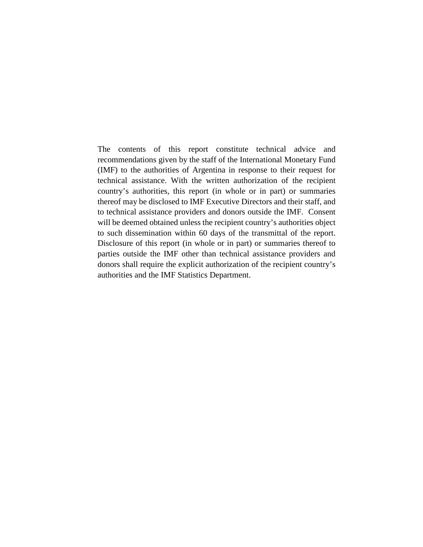The contents of this report constitute technical advice and recommendations given by the staff of the International Monetary Fund (IMF) to the authorities of Argentina in response to their request for technical assistance. With the written authorization of the recipient country's authorities, this report (in whole or in part) or summaries thereof may be disclosed to IMF Executive Directors and their staff, and to technical assistance providers and donors outside the IMF. Consent will be deemed obtained unless the recipient country's authorities object to such dissemination within 60 days of the transmittal of the report. Disclosure of this report (in whole or in part) or summaries thereof to parties outside the IMF other than technical assistance providers and donors shall require the explicit authorization of the recipient country's authorities and the IMF Statistics Department.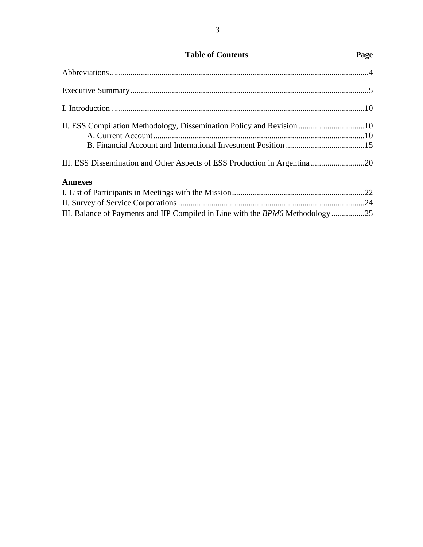## **Table of Contents Page**

| II. ESS Compilation Methodology, Dissemination Policy and Revision 10      |  |
|----------------------------------------------------------------------------|--|
|                                                                            |  |
|                                                                            |  |
| III. ESS Dissemination and Other Aspects of ESS Production in Argentina 20 |  |
| <b>Annexes</b>                                                             |  |
|                                                                            |  |
|                                                                            |  |
|                                                                            |  |

III. Balance of Payments and IIP Compiled in Line with the *BPM6* Methodology ................25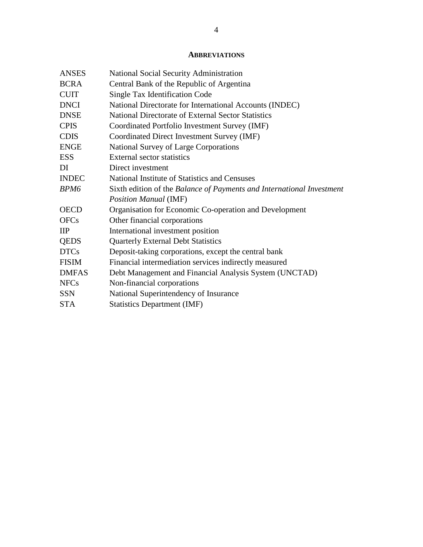#### **ABBREVIATIONS**

| <b>ANSES</b>     | National Social Security Administration                               |
|------------------|-----------------------------------------------------------------------|
| <b>BCRA</b>      | Central Bank of the Republic of Argentina                             |
| <b>CUIT</b>      | Single Tax Identification Code                                        |
| <b>DNCI</b>      | National Directorate for International Accounts (INDEC)               |
| <b>DNSE</b>      | National Directorate of External Sector Statistics                    |
| <b>CPIS</b>      | Coordinated Portfolio Investment Survey (IMF)                         |
| <b>CDIS</b>      | Coordinated Direct Investment Survey (IMF)                            |
| <b>ENGE</b>      | <b>National Survey of Large Corporations</b>                          |
| <b>ESS</b>       | External sector statistics                                            |
| DI               | Direct investment                                                     |
| <b>INDEC</b>     | National Institute of Statistics and Censuses                         |
| BPM <sub>6</sub> | Sixth edition of the Balance of Payments and International Investment |
|                  | <b>Position Manual (IMF)</b>                                          |
| <b>OECD</b>      | Organisation for Economic Co-operation and Development                |
| <b>OFCs</b>      | Other financial corporations                                          |
| $_{\rm IIP}$     | International investment position                                     |
| <b>QEDS</b>      | <b>Quarterly External Debt Statistics</b>                             |
| <b>DTCs</b>      | Deposit-taking corporations, except the central bank                  |
| <b>FISIM</b>     | Financial intermediation services indirectly measured                 |
| <b>DMFAS</b>     | Debt Management and Financial Analysis System (UNCTAD)                |
| <b>NFCs</b>      | Non-financial corporations                                            |
| <b>SSN</b>       | National Superintendency of Insurance                                 |
| <b>STA</b>       | <b>Statistics Department (IMF)</b>                                    |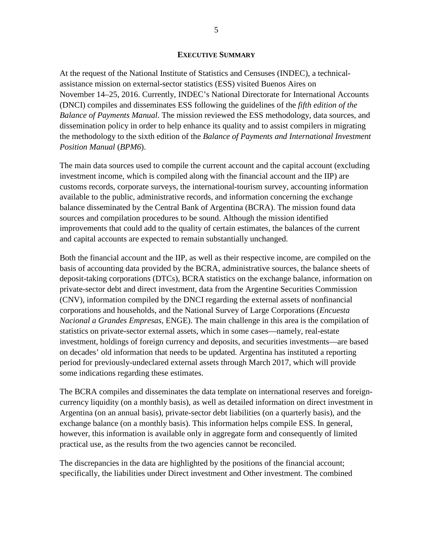#### **EXECUTIVE SUMMARY**

At the request of the National Institute of Statistics and Censuses (INDEC), a technicalassistance mission on external-sector statistics (ESS) visited Buenos Aires on November 14–25, 2016. Currently, INDEC's National Directorate for International Accounts (DNCI) compiles and disseminates ESS following the guidelines of the *fifth edition of the Balance of Payments Manual*. The mission reviewed the ESS methodology, data sources, and dissemination policy in order to help enhance its quality and to assist compilers in migrating the methodology to the sixth edition of the *Balance of Payments and International Investment Position Manual* (*BPM6*).

The main data sources used to compile the current account and the capital account (excluding investment income, which is compiled along with the financial account and the IIP) are customs records, corporate surveys, the international-tourism survey, accounting information available to the public, administrative records, and information concerning the exchange balance disseminated by the Central Bank of Argentina (BCRA). The mission found data sources and compilation procedures to be sound. Although the mission identified improvements that could add to the quality of certain estimates, the balances of the current and capital accounts are expected to remain substantially unchanged.

Both the financial account and the IIP, as well as their respective income, are compiled on the basis of accounting data provided by the BCRA, administrative sources, the balance sheets of deposit-taking corporations (DTCs), BCRA statistics on the exchange balance, information on private-sector debt and direct investment, data from the Argentine Securities Commission (CNV), information compiled by the DNCI regarding the external assets of nonfinancial corporations and households, and the National Survey of Large Corporations (*Encuesta Nacional a Grandes Empresas*, ENGE). The main challenge in this area is the compilation of statistics on private-sector external assets, which in some cases—namely, real-estate investment, holdings of foreign currency and deposits, and securities investments—are based on decades' old information that needs to be updated. Argentina has instituted a reporting period for previously-undeclared external assets through March 2017, which will provide some indications regarding these estimates.

The BCRA compiles and disseminates the data template on international reserves and foreigncurrency liquidity (on a monthly basis), as well as detailed information on direct investment in Argentina (on an annual basis), private-sector debt liabilities (on a quarterly basis), and the exchange balance (on a monthly basis). This information helps compile ESS. In general, however, this information is available only in aggregate form and consequently of limited practical use, as the results from the two agencies cannot be reconciled.

The discrepancies in the data are highlighted by the positions of the financial account; specifically, the liabilities under Direct investment and Other investment. The combined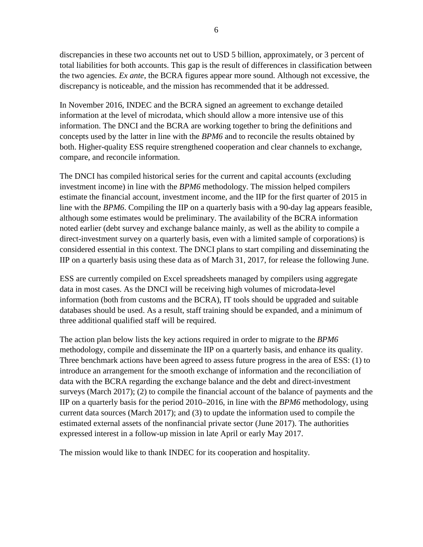discrepancies in these two accounts net out to USD 5 billion, approximately, or 3 percent of total liabilities for both accounts. This gap is the result of differences in classification between the two agencies. *Ex ante*, the BCRA figures appear more sound. Although not excessive, the discrepancy is noticeable, and the mission has recommended that it be addressed.

In November 2016, INDEC and the BCRA signed an agreement to exchange detailed information at the level of microdata, which should allow a more intensive use of this information. The DNCI and the BCRA are working together to bring the definitions and concepts used by the latter in line with the *BPM6* and to reconcile the results obtained by both. Higher-quality ESS require strengthened cooperation and clear channels to exchange, compare, and reconcile information.

The DNCI has compiled historical series for the current and capital accounts (excluding investment income) in line with the *BPM6* methodology. The mission helped compilers estimate the financial account, investment income, and the IIP for the first quarter of 2015 in line with the *BPM6*. Compiling the IIP on a quarterly basis with a 90-day lag appears feasible, although some estimates would be preliminary. The availability of the BCRA information noted earlier (debt survey and exchange balance mainly, as well as the ability to compile a direct-investment survey on a quarterly basis, even with a limited sample of corporations) is considered essential in this context. The DNCI plans to start compiling and disseminating the IIP on a quarterly basis using these data as of March 31, 2017, for release the following June.

ESS are currently compiled on Excel spreadsheets managed by compilers using aggregate data in most cases. As the DNCI will be receiving high volumes of microdata-level information (both from customs and the BCRA), IT tools should be upgraded and suitable databases should be used. As a result, staff training should be expanded, and a minimum of three additional qualified staff will be required.

The action plan below lists the key actions required in order to migrate to the *BPM6* methodology, compile and disseminate the IIP on a quarterly basis, and enhance its quality. Three benchmark actions have been agreed to assess future progress in the area of ESS: (1) to introduce an arrangement for the smooth exchange of information and the reconciliation of data with the BCRA regarding the exchange balance and the debt and direct-investment surveys (March 2017); (2) to compile the financial account of the balance of payments and the IIP on a quarterly basis for the period 2010–2016, in line with the *BPM6* methodology, using current data sources (March 2017); and (3) to update the information used to compile the estimated external assets of the nonfinancial private sector (June 2017). The authorities expressed interest in a follow-up mission in late April or early May 2017.

The mission would like to thank INDEC for its cooperation and hospitality.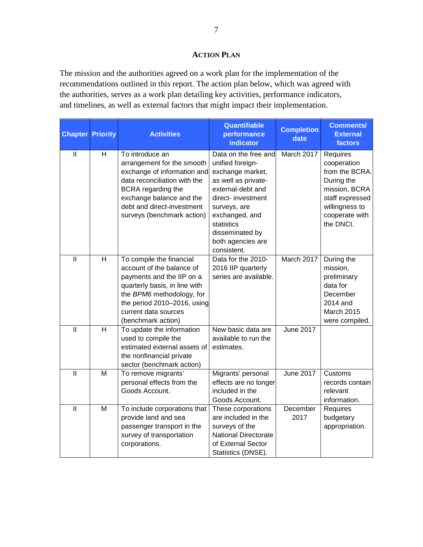#### **ACTION PLAN**

The mission and the authorities agreed on a work plan for the implementation of the recommendations outlined in this report. The action plan below, which was agreed with the authorities, serves as a work plan detailing key activities, performance indicators, and timelines, as well as external factors that might impact their implementation.

| <b>Chapter</b>                            | <b>Priority</b> | <b>Activities</b>                                                                                                                                                                                                             | <b>Quantifiable</b><br>performance<br>indicator                                                                                                                                                                                       | <b>Completion</b><br>date | <b>Comments/</b><br><b>External</b><br>factors                                                                                               |
|-------------------------------------------|-----------------|-------------------------------------------------------------------------------------------------------------------------------------------------------------------------------------------------------------------------------|---------------------------------------------------------------------------------------------------------------------------------------------------------------------------------------------------------------------------------------|---------------------------|----------------------------------------------------------------------------------------------------------------------------------------------|
| $\label{eq:1} \prod_{i=1}^n \mathbb{I}^i$ | H               | To introduce an<br>arrangement for the smooth<br>exchange of information and<br>data reconciliation with the<br>BCRA regarding the<br>exchange balance and the<br>debt and direct-investment<br>surveys (benchmark action)    | Data on the free and<br>unified foreign-<br>exchange market,<br>as well as private-<br>external-debt and<br>direct- investment<br>surveys, are<br>exchanged, and<br>statistics<br>disseminated by<br>both agencies are<br>consistent. | March 2017                | Requires<br>cooperation<br>from the BCRA.<br>During the<br>mission, BCRA<br>staff expressed<br>willingness to<br>cooperate with<br>the DNCI. |
| $\mathbf{II}$                             | $\overline{H}$  | To compile the financial<br>account of the balance of<br>payments and the IIP on a<br>quarterly basis, in line with<br>the BPM6 methodology, for<br>the period 2010-2016, using<br>current data sources<br>(benchmark action) | Data for the 2010-<br>2016 IIP quarterly<br>series are available.                                                                                                                                                                     | March 2017                | During the<br>mission,<br>preliminary<br>data for<br>December<br>2014 and<br>March 2015<br>were compiled.                                    |
| $\overline{\mathbb{I}}$                   | $\overline{H}$  | To update the information<br>used to compile the<br>estimated external assets of<br>the nonfinancial private<br>sector (benchmark action)                                                                                     | New basic data are<br>available to run the<br>estimates.                                                                                                                                                                              | <b>June 2017</b>          |                                                                                                                                              |
| $\mathbf{II}$                             | M               | To remove migrants'<br>personal effects from the<br>Goods Account.                                                                                                                                                            | Migrants' personal<br>effects are no longer<br>included in the<br>Goods Account.                                                                                                                                                      | <b>June 2017</b>          | Customs<br>records contain<br>relevant<br>information.                                                                                       |
| $\mathbf{II}$                             | M               | To include corporations that<br>provide land and sea<br>passenger transport in the<br>survey of transportation<br>corporations.                                                                                               | These corporations<br>are included in the<br>surveys of the<br><b>National Directorate</b><br>of External Sector<br>Statistics (DNSE).                                                                                                | December<br>2017          | Requires<br>budgetary<br>appropriation.                                                                                                      |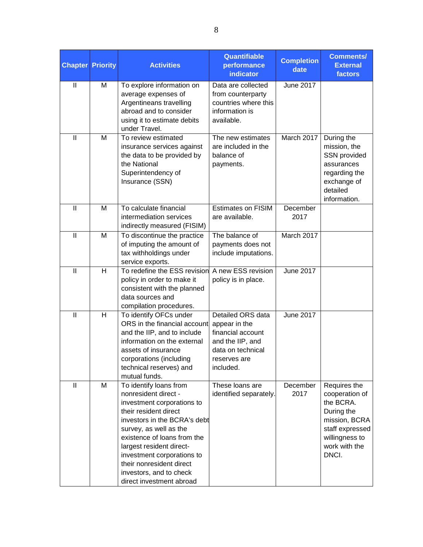| <b>Chapter</b> | <b>Priority</b> | <b>Activities</b>                                                                                                                                                                                                                                                                                                                           | Quantifiable<br>performance<br>indicator                                                                                      | <b>Completion</b><br>date | <b>Comments/</b><br><b>External</b><br>factors                                                                                            |  |  |
|----------------|-----------------|---------------------------------------------------------------------------------------------------------------------------------------------------------------------------------------------------------------------------------------------------------------------------------------------------------------------------------------------|-------------------------------------------------------------------------------------------------------------------------------|---------------------------|-------------------------------------------------------------------------------------------------------------------------------------------|--|--|
| $\mathbf{  }$  | M               | To explore information on<br>average expenses of<br>Argentineans travelling<br>abroad and to consider<br>using it to estimate debits<br>under Travel.                                                                                                                                                                                       | Data are collected<br>from counterparty<br>countries where this<br>information is<br>available.                               | <b>June 2017</b>          |                                                                                                                                           |  |  |
| $\mathbf{II}$  | M               | To review estimated<br>insurance services against<br>the data to be provided by<br>the National<br>Superintendency of<br>Insurance (SSN)                                                                                                                                                                                                    | The new estimates<br>are included in the<br>balance of<br>payments.                                                           | March 2017                | During the<br>mission, the<br>SSN provided<br>assurances<br>regarding the<br>exchange of<br>detailed<br>information.                      |  |  |
| $\mathbf{II}$  | M               | To calculate financial<br>intermediation services<br>indirectly measured (FISIM)                                                                                                                                                                                                                                                            | <b>Estimates on FISIM</b><br>are available.                                                                                   | December<br>2017          |                                                                                                                                           |  |  |
| $\mathbf{  }$  | M               | To discontinue the practice<br>of imputing the amount of<br>tax withholdings under<br>service exports.                                                                                                                                                                                                                                      | The balance of<br>payments does not<br>include imputations.                                                                   | March 2017                |                                                                                                                                           |  |  |
| $\mathbf{  }$  | H               | To redefine the ESS revision<br>policy in order to make it<br>consistent with the planned<br>data sources and<br>compilation procedures.                                                                                                                                                                                                    | A new ESS revision<br>policy is in place.                                                                                     | <b>June 2017</b>          |                                                                                                                                           |  |  |
| $\mathbf{I}$   | H               | To identify OFCs under<br>ORS in the financial account<br>and the IIP, and to include<br>information on the external<br>assets of insurance<br>corporations (including<br>technical reserves) and<br>mutual funds.                                                                                                                          | Detailed ORS data<br>appear in the<br>financial account<br>and the IIP, and<br>data on technical<br>reserves are<br>included. | <b>June 2017</b>          |                                                                                                                                           |  |  |
| $\mathbf{  }$  | M               | To identify loans from<br>nonresident direct -<br>investment corporations to<br>their resident direct<br>investors in the BCRA's debt<br>survey, as well as the<br>existence of loans from the<br>largest resident direct-<br>investment corporations to<br>their nonresident direct<br>investors, and to check<br>direct investment abroad | These loans are<br>identified separately.                                                                                     | December<br>2017          | Requires the<br>cooperation of<br>the BCRA.<br>During the<br>mission, BCRA<br>staff expressed<br>willingness to<br>work with the<br>DNCI. |  |  |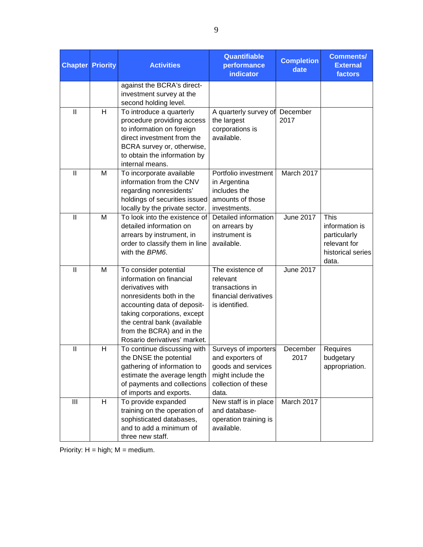| <b>Chapter</b>                            | <b>Priority</b> | <b>Activities</b>                                                                                                                                                                                                                                           | Quantifiable<br>performance<br>indicator                                                                            | <b>Completion</b><br>date | <b>Comments/</b><br><b>External</b><br>factors                                              |
|-------------------------------------------|-----------------|-------------------------------------------------------------------------------------------------------------------------------------------------------------------------------------------------------------------------------------------------------------|---------------------------------------------------------------------------------------------------------------------|---------------------------|---------------------------------------------------------------------------------------------|
|                                           |                 | against the BCRA's direct-<br>investment survey at the<br>second holding level.                                                                                                                                                                             |                                                                                                                     |                           |                                                                                             |
| $\mathbf{I}$                              | H               | To introduce a quarterly<br>procedure providing access<br>to information on foreign<br>direct investment from the<br>BCRA survey or, otherwise,<br>to obtain the information by<br>internal means.                                                          | A quarterly survey of<br>the largest<br>corporations is<br>available.                                               | December<br>2017          |                                                                                             |
| $\mathbf{I}$                              | M               | To incorporate available<br>information from the CNV<br>regarding nonresidents'<br>holdings of securities issued<br>locally by the private sector.                                                                                                          | Portfolio investment<br>in Argentina<br>includes the<br>amounts of those<br>investments.                            | March 2017                |                                                                                             |
| $\mathbf{I}$                              | M               | To look into the existence of<br>detailed information on<br>arrears by instrument, in<br>order to classify them in line<br>with the BPM6.                                                                                                                   | Detailed information<br>on arrears by<br>instrument is<br>available.                                                | <b>June 2017</b>          | <b>This</b><br>information is<br>particularly<br>relevant for<br>historical series<br>data. |
| $\label{eq:1} \prod_{i=1}^n \mathbb{I}^i$ | M               | To consider potential<br>information on financial<br>derivatives with<br>nonresidents both in the<br>accounting data of deposit-<br>taking corporations, except<br>the central bank (available<br>from the BCRA) and in the<br>Rosario derivatives' market. | The existence of<br>relevant<br>transactions in<br>financial derivatives<br>is identified.                          | <b>June 2017</b>          |                                                                                             |
| $\label{eq:1} \prod_{i=1}^n \mathbb{I}^i$ | H               | To continue discussing with<br>the DNSE the potential<br>gathering of information to<br>estimate the average length<br>of payments and collections<br>of imports and exports.                                                                               | Surveys of importers<br>and exporters of<br>goods and services<br>might include the<br>collection of these<br>data. | December<br>2017          | Requires<br>budgetary<br>appropriation.                                                     |
| Ш                                         | H               | To provide expanded<br>training on the operation of<br>sophisticated databases,<br>and to add a minimum of<br>three new staff.                                                                                                                              | New staff is in place<br>and database-<br>operation training is<br>available.                                       | March 2017                |                                                                                             |

Priority:  $H = high$ ;  $M = medium$ .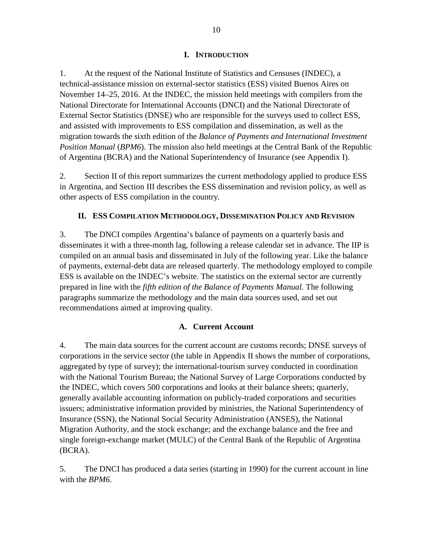#### **I. INTRODUCTION**

1. At the request of the National Institute of Statistics and Censuses (INDEC), a technical-assistance mission on external-sector statistics (ESS) visited Buenos Aires on November 14–25, 2016. At the INDEC, the mission held meetings with compilers from the National Directorate for International Accounts (DNCI) and the National Directorate of External Sector Statistics (DNSE) who are responsible for the surveys used to collect ESS, and assisted with improvements to ESS compilation and dissemination, as well as the migration towards the sixth edition of the *Balance of Payments and International Investment Position Manual* (*BPM6*). The mission also held meetings at the Central Bank of the Republic of Argentina (BCRA) and the National Superintendency of Insurance (see Appendix I).

2. Section II of this report summarizes the current methodology applied to produce ESS in Argentina, and Section III describes the ESS dissemination and revision policy, as well as other aspects of ESS compilation in the country.

#### **II. ESS COMPILATION METHODOLOGY, DISSEMINATION POLICY AND REVISION**

3. The DNCI compiles Argentina's balance of payments on a quarterly basis and disseminates it with a three-month lag, following a release calendar set in advance. The IIP is compiled on an annual basis and disseminated in July of the following year. Like the balance of payments, external-debt data are released quarterly. The methodology employed to compile ESS is available on the INDEC's website. The statistics on the external sector are currently prepared in line with the *fifth edition of the Balance of Payments Manual.* The following paragraphs summarize the methodology and the main data sources used, and set out recommendations aimed at improving quality.

#### **A. Current Account**

4. The main data sources for the current account are customs records; DNSE surveys of corporations in the service sector (the table in Appendix II shows the number of corporations, aggregated by type of survey); the international-tourism survey conducted in coordination with the National Tourism Bureau; the National Survey of Large Corporations conducted by the INDEC, which covers 500 corporations and looks at their balance sheets; quarterly, generally available accounting information on publicly-traded corporations and securities issuers; administrative information provided by ministries, the National Superintendency of Insurance (SSN), the National Social Security Administration (ANSES), the National Migration Authority, and the stock exchange; and the exchange balance and the free and single foreign-exchange market (MULC) of the Central Bank of the Republic of Argentina (BCRA).

5. The DNCI has produced a data series (starting in 1990) for the current account in line with the *BPM6*.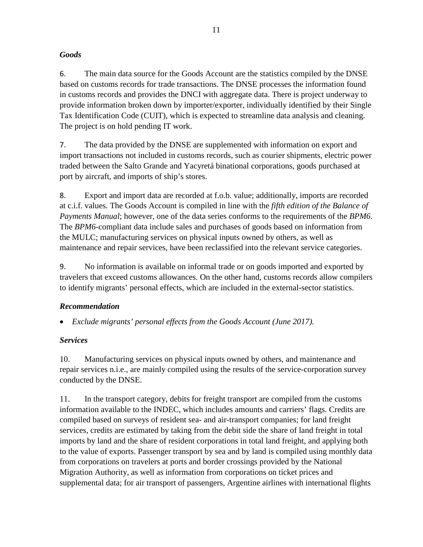#### *Goods*

6. The main data source for the Goods Account are the statistics compiled by the DNSE based on customs records for trade transactions. The DNSE processes the information found in customs records and provides the DNCI with aggregate data. There is project underway to provide information broken down by importer/exporter, individually identified by their Single Tax Identification Code (CUIT), which is expected to streamline data analysis and cleaning. The project is on hold pending IT work.

7. The data provided by the DNSE are supplemented with information on export and import transactions not included in customs records, such as courier shipments, electric power traded between the Salto Grande and Yacyretá binational corporations, goods purchased at port by aircraft, and imports of ship's stores.

8. Export and import data are recorded at f.o.b. value; additionally, imports are recorded at c.i.f. values. The Goods Account is compiled in line with the *fifth edition of the Balance of Payments Manual*; however, one of the data series conforms to the requirements of the *BPM6*. The *BPM6*-compliant data include sales and purchases of goods based on information from the MULC; manufacturing services on physical inputs owned by others, as well as maintenance and repair services, have been reclassified into the relevant service categories.

9. No information is available on informal trade or on goods imported and exported by travelers that exceed customs allowances. On the other hand, customs records allow compilers to identify migrants' personal effects, which are included in the external-sector statistics.

### *Recommendation*

• *Exclude migrants' personal effects from the Goods Account (June 2017).*

### *Services*

10. Manufacturing services on physical inputs owned by others, and maintenance and repair services n.i.e., are mainly compiled using the results of the service-corporation survey conducted by the DNSE.

11. In the transport category, debits for freight transport are compiled from the customs information available to the INDEC, which includes amounts and carriers' flags. Credits are compiled based on surveys of resident sea- and air-transport companies; for land freight services, credits are estimated by taking from the debit side the share of land freight in total imports by land and the share of resident corporations in total land freight, and applying both to the value of exports. Passenger transport by sea and by land is compiled using monthly data from corporations on travelers at ports and border crossings provided by the National Migration Authority, as well as information from corporations on ticket prices and supplemental data; for air transport of passengers, Argentine airlines with international flights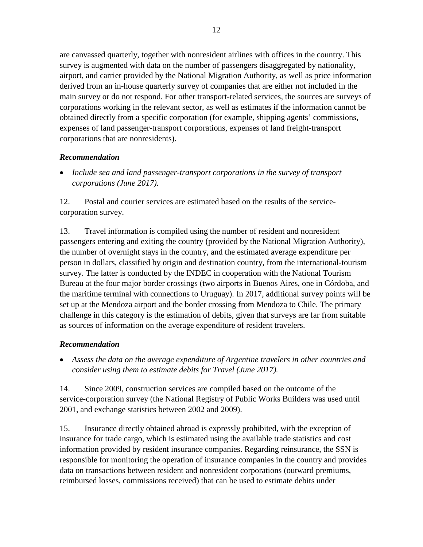are canvassed quarterly, together with nonresident airlines with offices in the country. This survey is augmented with data on the number of passengers disaggregated by nationality, airport, and carrier provided by the National Migration Authority, as well as price information derived from an in-house quarterly survey of companies that are either not included in the main survey or do not respond. For other transport-related services, the sources are surveys of corporations working in the relevant sector, as well as estimates if the information cannot be obtained directly from a specific corporation (for example, shipping agents' commissions, expenses of land passenger-transport corporations, expenses of land freight-transport corporations that are nonresidents).

#### *Recommendation*

• *Include sea and land passenger-transport corporations in the survey of transport corporations (June 2017).*

12. Postal and courier services are estimated based on the results of the servicecorporation survey.

13. Travel information is compiled using the number of resident and nonresident passengers entering and exiting the country (provided by the National Migration Authority), the number of overnight stays in the country, and the estimated average expenditure per person in dollars, classified by origin and destination country, from the international-tourism survey. The latter is conducted by the INDEC in cooperation with the National Tourism Bureau at the four major border crossings (two airports in Buenos Aires, one in Córdoba, and the maritime terminal with connections to Uruguay). In 2017, additional survey points will be set up at the Mendoza airport and the border crossing from Mendoza to Chile. The primary challenge in this category is the estimation of debits, given that surveys are far from suitable as sources of information on the average expenditure of resident travelers.

#### *Recommendation*

• *Assess the data on the average expenditure of Argentine travelers in other countries and consider using them to estimate debits for Travel (June 2017).*

14. Since 2009, construction services are compiled based on the outcome of the service-corporation survey (the National Registry of Public Works Builders was used until 2001, and exchange statistics between 2002 and 2009).

15. Insurance directly obtained abroad is expressly prohibited, with the exception of insurance for trade cargo, which is estimated using the available trade statistics and cost information provided by resident insurance companies. Regarding reinsurance, the SSN is responsible for monitoring the operation of insurance companies in the country and provides data on transactions between resident and nonresident corporations (outward premiums, reimbursed losses, commissions received) that can be used to estimate debits under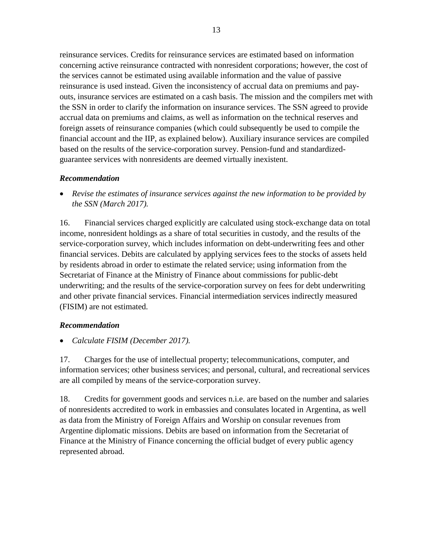reinsurance services. Credits for reinsurance services are estimated based on information concerning active reinsurance contracted with nonresident corporations; however, the cost of the services cannot be estimated using available information and the value of passive reinsurance is used instead. Given the inconsistency of accrual data on premiums and payouts, insurance services are estimated on a cash basis. The mission and the compilers met with the SSN in order to clarify the information on insurance services. The SSN agreed to provide accrual data on premiums and claims, as well as information on the technical reserves and foreign assets of reinsurance companies (which could subsequently be used to compile the financial account and the IIP, as explained below). Auxiliary insurance services are compiled based on the results of the service-corporation survey. Pension-fund and standardizedguarantee services with nonresidents are deemed virtually inexistent.

#### *Recommendation*

• *Revise the estimates of insurance services against the new information to be provided by the SSN (March 2017).*

16. Financial services charged explicitly are calculated using stock-exchange data on total income, nonresident holdings as a share of total securities in custody, and the results of the service-corporation survey, which includes information on debt-underwriting fees and other financial services. Debits are calculated by applying services fees to the stocks of assets held by residents abroad in order to estimate the related service; using information from the Secretariat of Finance at the Ministry of Finance about commissions for public-debt underwriting; and the results of the service-corporation survey on fees for debt underwriting and other private financial services. Financial intermediation services indirectly measured (FISIM) are not estimated.

### *Recommendation*

• *Calculate FISIM (December 2017).*

17. Charges for the use of intellectual property; telecommunications, computer, and information services; other business services; and personal, cultural, and recreational services are all compiled by means of the service-corporation survey.

18. Credits for government goods and services n.i.e. are based on the number and salaries of nonresidents accredited to work in embassies and consulates located in Argentina, as well as data from the Ministry of Foreign Affairs and Worship on consular revenues from Argentine diplomatic missions. Debits are based on information from the Secretariat of Finance at the Ministry of Finance concerning the official budget of every public agency represented abroad.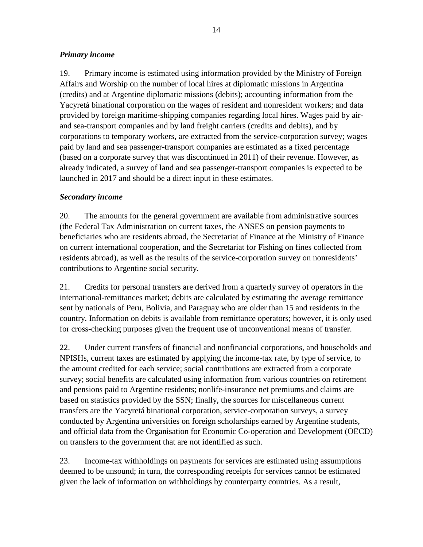#### *Primary income*

19. Primary income is estimated using information provided by the Ministry of Foreign Affairs and Worship on the number of local hires at diplomatic missions in Argentina (credits) and at Argentine diplomatic missions (debits); accounting information from the Yacyretá binational corporation on the wages of resident and nonresident workers; and data provided by foreign maritime-shipping companies regarding local hires. Wages paid by airand sea-transport companies and by land freight carriers (credits and debits), and by corporations to temporary workers, are extracted from the service-corporation survey; wages paid by land and sea passenger-transport companies are estimated as a fixed percentage (based on a corporate survey that was discontinued in 2011) of their revenue. However, as already indicated, a survey of land and sea passenger-transport companies is expected to be launched in 2017 and should be a direct input in these estimates.

#### *Secondary income*

20. The amounts for the general government are available from administrative sources (the Federal Tax Administration on current taxes, the ANSES on pension payments to beneficiaries who are residents abroad, the Secretariat of Finance at the Ministry of Finance on current international cooperation, and the Secretariat for Fishing on fines collected from residents abroad), as well as the results of the service-corporation survey on nonresidents' contributions to Argentine social security.

21. Credits for personal transfers are derived from a quarterly survey of operators in the international-remittances market; debits are calculated by estimating the average remittance sent by nationals of Peru, Bolivia, and Paraguay who are older than 15 and residents in the country. Information on debits is available from remittance operators; however, it is only used for cross-checking purposes given the frequent use of unconventional means of transfer.

22. Under current transfers of financial and nonfinancial corporations, and households and NPISHs, current taxes are estimated by applying the income-tax rate, by type of service, to the amount credited for each service; social contributions are extracted from a corporate survey; social benefits are calculated using information from various countries on retirement and pensions paid to Argentine residents; nonlife-insurance net premiums and claims are based on statistics provided by the SSN; finally, the sources for miscellaneous current transfers are the Yacyretá binational corporation, service-corporation surveys, a survey conducted by Argentina universities on foreign scholarships earned by Argentine students, and official data from the Organisation for Economic Co-operation and Development (OECD) on transfers to the government that are not identified as such.

23. Income-tax withholdings on payments for services are estimated using assumptions deemed to be unsound; in turn, the corresponding receipts for services cannot be estimated given the lack of information on withholdings by counterparty countries. As a result,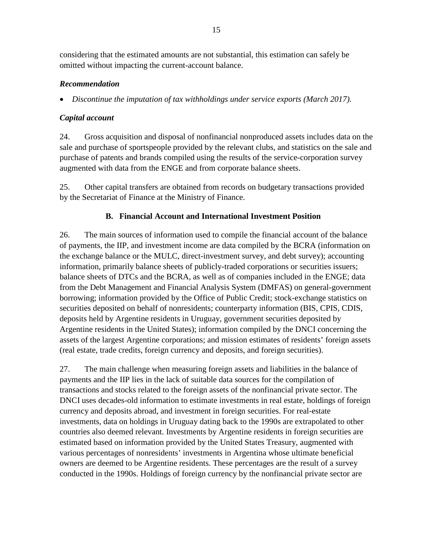considering that the estimated amounts are not substantial, this estimation can safely be omitted without impacting the current-account balance.

#### *Recommendation*

• *Discontinue the imputation of tax withholdings under service exports (March 2017).*

#### *Capital account*

24. Gross acquisition and disposal of nonfinancial nonproduced assets includes data on the sale and purchase of sportspeople provided by the relevant clubs, and statistics on the sale and purchase of patents and brands compiled using the results of the service-corporation survey augmented with data from the ENGE and from corporate balance sheets.

25. Other capital transfers are obtained from records on budgetary transactions provided by the Secretariat of Finance at the Ministry of Finance.

### **B. Financial Account and International Investment Position**

26. The main sources of information used to compile the financial account of the balance of payments, the IIP, and investment income are data compiled by the BCRA (information on the exchange balance or the MULC, direct-investment survey, and debt survey); accounting information, primarily balance sheets of publicly-traded corporations or securities issuers; balance sheets of DTCs and the BCRA, as well as of companies included in the ENGE; data from the Debt Management and Financial Analysis System (DMFAS) on general-government borrowing; information provided by the Office of Public Credit; stock-exchange statistics on securities deposited on behalf of nonresidents; counterparty information (BIS, CPIS, CDIS, deposits held by Argentine residents in Uruguay, government securities deposited by Argentine residents in the United States); information compiled by the DNCI concerning the assets of the largest Argentine corporations; and mission estimates of residents' foreign assets (real estate, trade credits, foreign currency and deposits, and foreign securities).

27. The main challenge when measuring foreign assets and liabilities in the balance of payments and the IIP lies in the lack of suitable data sources for the compilation of transactions and stocks related to the foreign assets of the nonfinancial private sector. The DNCI uses decades-old information to estimate investments in real estate, holdings of foreign currency and deposits abroad, and investment in foreign securities. For real-estate investments, data on holdings in Uruguay dating back to the 1990s are extrapolated to other countries also deemed relevant. Investments by Argentine residents in foreign securities are estimated based on information provided by the United States Treasury, augmented with various percentages of nonresidents' investments in Argentina whose ultimate beneficial owners are deemed to be Argentine residents. These percentages are the result of a survey conducted in the 1990s. Holdings of foreign currency by the nonfinancial private sector are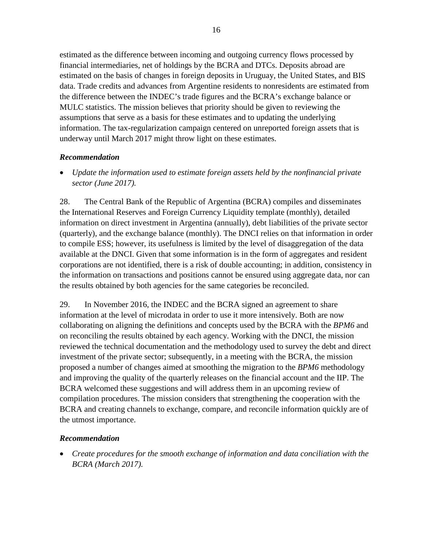estimated as the difference between incoming and outgoing currency flows processed by financial intermediaries, net of holdings by the BCRA and DTCs. Deposits abroad are estimated on the basis of changes in foreign deposits in Uruguay, the United States, and BIS data. Trade credits and advances from Argentine residents to nonresidents are estimated from the difference between the INDEC's trade figures and the BCRA's exchange balance or MULC statistics. The mission believes that priority should be given to reviewing the assumptions that serve as a basis for these estimates and to updating the underlying information. The tax-regularization campaign centered on unreported foreign assets that is underway until March 2017 might throw light on these estimates.

#### *Recommendation*

• *Update the information used to estimate foreign assets held by the nonfinancial private sector (June 2017).*

28. The Central Bank of the Republic of Argentina (BCRA) compiles and disseminates the International Reserves and Foreign Currency Liquidity template (monthly), detailed information on direct investment in Argentina (annually), debt liabilities of the private sector (quarterly), and the exchange balance (monthly). The DNCI relies on that information in order to compile ESS; however, its usefulness is limited by the level of disaggregation of the data available at the DNCI. Given that some information is in the form of aggregates and resident corporations are not identified, there is a risk of double accounting; in addition, consistency in the information on transactions and positions cannot be ensured using aggregate data, nor can the results obtained by both agencies for the same categories be reconciled.

29. In November 2016, the INDEC and the BCRA signed an agreement to share information at the level of microdata in order to use it more intensively. Both are now collaborating on aligning the definitions and concepts used by the BCRA with the *BPM6* and on reconciling the results obtained by each agency. Working with the DNCI, the mission reviewed the technical documentation and the methodology used to survey the debt and direct investment of the private sector; subsequently, in a meeting with the BCRA, the mission proposed a number of changes aimed at smoothing the migration to the *BPM6* methodology and improving the quality of the quarterly releases on the financial account and the IIP. The BCRA welcomed these suggestions and will address them in an upcoming review of compilation procedures. The mission considers that strengthening the cooperation with the BCRA and creating channels to exchange, compare, and reconcile information quickly are of the utmost importance.

#### *Recommendation*

• *Create procedures for the smooth exchange of information and data conciliation with the BCRA (March 2017).*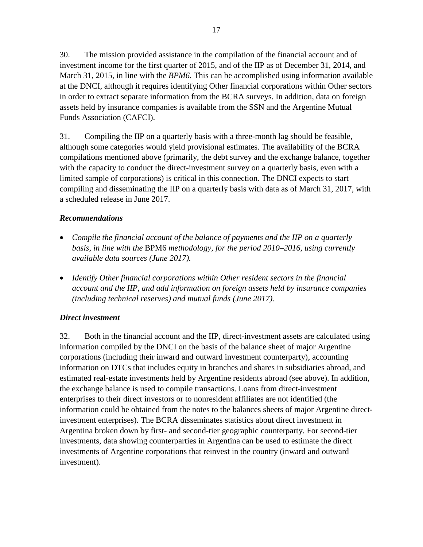30. The mission provided assistance in the compilation of the financial account and of investment income for the first quarter of 2015, and of the IIP as of December 31, 2014, and March 31, 2015, in line with the *BPM6*. This can be accomplished using information available at the DNCI, although it requires identifying Other financial corporations within Other sectors in order to extract separate information from the BCRA surveys. In addition, data on foreign assets held by insurance companies is available from the SSN and the Argentine Mutual Funds Association (CAFCI).

31. Compiling the IIP on a quarterly basis with a three-month lag should be feasible, although some categories would yield provisional estimates. The availability of the BCRA compilations mentioned above (primarily, the debt survey and the exchange balance, together with the capacity to conduct the direct-investment survey on a quarterly basis, even with a limited sample of corporations) is critical in this connection. The DNCI expects to start compiling and disseminating the IIP on a quarterly basis with data as of March 31, 2017, with a scheduled release in June 2017.

#### *Recommendations*

- *Compile the financial account of the balance of payments and the IIP on a quarterly basis, in line with the* BPM6 *methodology, for the period 2010–2016, using currently available data sources (June 2017).*
- *Identify Other financial corporations within Other resident sectors in the financial account and the IIP, and add information on foreign assets held by insurance companies (including technical reserves) and mutual funds (June 2017).*

#### *Direct investment*

32. Both in the financial account and the IIP, direct-investment assets are calculated using information compiled by the DNCI on the basis of the balance sheet of major Argentine corporations (including their inward and outward investment counterparty), accounting information on DTCs that includes equity in branches and shares in subsidiaries abroad, and estimated real-estate investments held by Argentine residents abroad (see above). In addition, the exchange balance is used to compile transactions. Loans from direct-investment enterprises to their direct investors or to nonresident affiliates are not identified (the information could be obtained from the notes to the balances sheets of major Argentine directinvestment enterprises). The BCRA disseminates statistics about direct investment in Argentina broken down by first- and second-tier geographic counterparty. For second-tier investments, data showing counterparties in Argentina can be used to estimate the direct investments of Argentine corporations that reinvest in the country (inward and outward investment).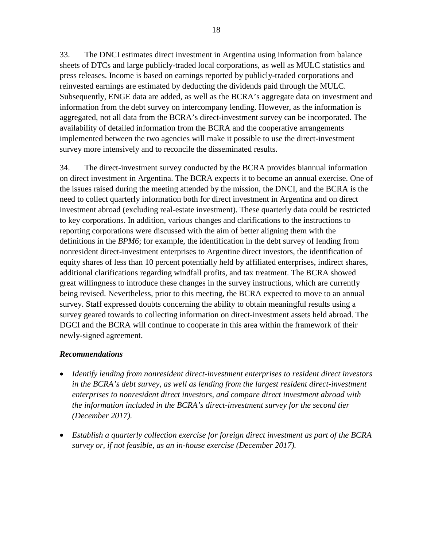33. The DNCI estimates direct investment in Argentina using information from balance sheets of DTCs and large publicly-traded local corporations, as well as MULC statistics and press releases. Income is based on earnings reported by publicly-traded corporations and reinvested earnings are estimated by deducting the dividends paid through the MULC. Subsequently, ENGE data are added, as well as the BCRA's aggregate data on investment and information from the debt survey on intercompany lending. However, as the information is aggregated, not all data from the BCRA's direct-investment survey can be incorporated. The availability of detailed information from the BCRA and the cooperative arrangements implemented between the two agencies will make it possible to use the direct-investment survey more intensively and to reconcile the disseminated results.

34. The direct-investment survey conducted by the BCRA provides biannual information on direct investment in Argentina. The BCRA expects it to become an annual exercise. One of the issues raised during the meeting attended by the mission, the DNCI, and the BCRA is the need to collect quarterly information both for direct investment in Argentina and on direct investment abroad (excluding real-estate investment). These quarterly data could be restricted to key corporations. In addition, various changes and clarifications to the instructions to reporting corporations were discussed with the aim of better aligning them with the definitions in the *BPM6*; for example, the identification in the debt survey of lending from nonresident direct-investment enterprises to Argentine direct investors, the identification of equity shares of less than 10 percent potentially held by affiliated enterprises, indirect shares, additional clarifications regarding windfall profits, and tax treatment. The BCRA showed great willingness to introduce these changes in the survey instructions, which are currently being revised. Nevertheless, prior to this meeting, the BCRA expected to move to an annual survey. Staff expressed doubts concerning the ability to obtain meaningful results using a survey geared towards to collecting information on direct-investment assets held abroad. The DGCI and the BCRA will continue to cooperate in this area within the framework of their newly-signed agreement.

#### *Recommendations*

- *Identify lending from nonresident direct-investment enterprises to resident direct investors in the BCRA's debt survey, as well as lending from the largest resident direct-investment enterprises to nonresident direct investors, and compare direct investment abroad with the information included in the BCRA's direct-investment survey for the second tier (December 2017).*
- *Establish a quarterly collection exercise for foreign direct investment as part of the BCRA survey or, if not feasible, as an in-house exercise (December 2017).*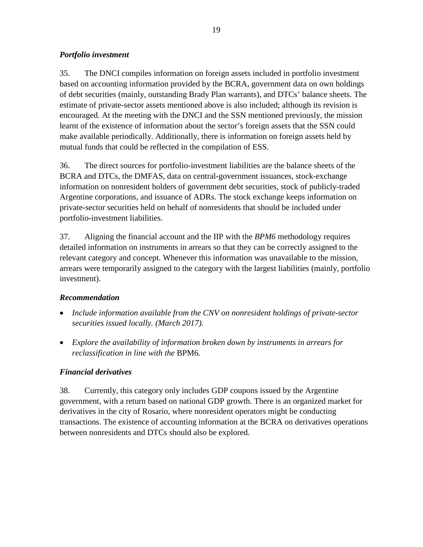#### *Portfolio investment*

35. The DNCI compiles information on foreign assets included in portfolio investment based on accounting information provided by the BCRA, government data on own holdings of debt securities (mainly, outstanding Brady Plan warrants), and DTCs' balance sheets. The estimate of private-sector assets mentioned above is also included; although its revision is encouraged. At the meeting with the DNCI and the SSN mentioned previously, the mission learnt of the existence of information about the sector's foreign assets that the SSN could make available periodically. Additionally, there is information on foreign assets held by mutual funds that could be reflected in the compilation of ESS.

36. The direct sources for portfolio-investment liabilities are the balance sheets of the BCRA and DTCs, the DMFAS, data on central-government issuances, stock-exchange information on nonresident holders of government debt securities, stock of publicly-traded Argentine corporations, and issuance of ADRs. The stock exchange keeps information on private-sector securities held on behalf of nonresidents that should be included under portfolio-investment liabilities.

37. Aligning the financial account and the IIP with the *BPM6* methodology requires detailed information on instruments in arrears so that they can be correctly assigned to the relevant category and concept. Whenever this information was unavailable to the mission, arrears were temporarily assigned to the category with the largest liabilities (mainly, portfolio investment).

### *Recommendation*

- *Include information available from the CNV on nonresident holdings of private-sector securities issued locally. (March 2017).*
- *Explore the availability of information broken down by instruments in arrears for reclassification in line with the* BPM6*.*

### *Financial derivatives*

38. Currently, this category only includes GDP coupons issued by the Argentine government, with a return based on national GDP growth. There is an organized market for derivatives in the city of Rosario, where nonresident operators might be conducting transactions. The existence of accounting information at the BCRA on derivatives operations between nonresidents and DTCs should also be explored.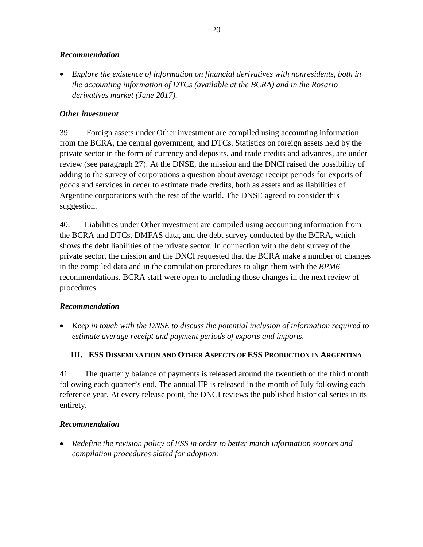#### *Recommendation*

• *Explore the existence of information on financial derivatives with nonresidents, both in the accounting information of DTCs (available at the BCRA) and in the Rosario derivatives market (June 2017).*

### *Other investment*

39. Foreign assets under Other investment are compiled using accounting information from the BCRA, the central government, and DTCs. Statistics on foreign assets held by the private sector in the form of currency and deposits, and trade credits and advances, are under review (see paragraph 27). At the DNSE, the mission and the DNCI raised the possibility of adding to the survey of corporations a question about average receipt periods for exports of goods and services in order to estimate trade credits, both as assets and as liabilities of Argentine corporations with the rest of the world. The DNSE agreed to consider this suggestion.

40. Liabilities under Other investment are compiled using accounting information from the BCRA and DTCs, DMFAS data, and the debt survey conducted by the BCRA, which shows the debt liabilities of the private sector. In connection with the debt survey of the private sector, the mission and the DNCI requested that the BCRA make a number of changes in the compiled data and in the compilation procedures to align them with the *BPM6* recommendations. BCRA staff were open to including those changes in the next review of procedures.

#### *Recommendation*

• *Keep in touch with the DNSE to discuss the potential inclusion of information required to estimate average receipt and payment periods of exports and imports.*

### **III. ESS DISSEMINATION AND OTHER ASPECTS OF ESS PRODUCTION IN ARGENTINA**

41. The quarterly balance of payments is released around the twentieth of the third month following each quarter's end. The annual IIP is released in the month of July following each reference year. At every release point, the DNCI reviews the published historical series in its entirety.

#### *Recommendation*

• *Redefine the revision policy of ESS in order to better match information sources and compilation procedures slated for adoption.*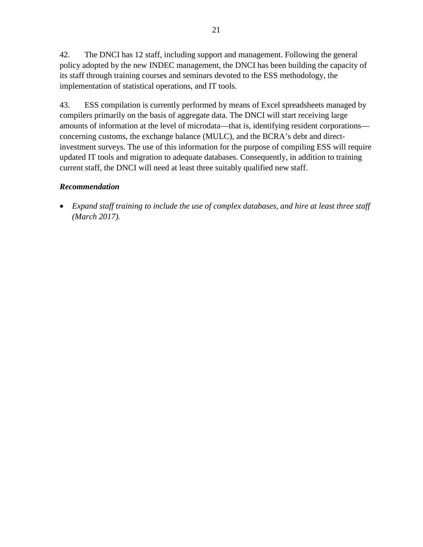42. The DNCI has 12 staff, including support and management. Following the general policy adopted by the new INDEC management, the DNCI has been building the capacity of its staff through training courses and seminars devoted to the ESS methodology, the implementation of statistical operations, and IT tools.

43. ESS compilation is currently performed by means of Excel spreadsheets managed by compilers primarily on the basis of aggregate data. The DNCI will start receiving large amounts of information at the level of microdata—that is, identifying resident corporations concerning customs, the exchange balance (MULC), and the BCRA's debt and directinvestment surveys. The use of this information for the purpose of compiling ESS will require updated IT tools and migration to adequate databases. Consequently, in addition to training current staff, the DNCI will need at least three suitably qualified new staff.

#### *Recommendation*

• *Expand staff training to include the use of complex databases, and hire at least three staff (March 2017).*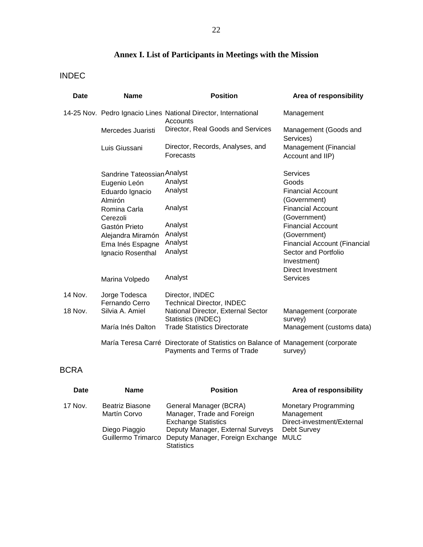## **Annex I. List of Participants in Meetings with the Mission**

## INDEC

| <b>Date</b> | <b>Name</b>                     | <b>Position</b>                                                                                                 | Area of responsibility                    |  |  |  |  |
|-------------|---------------------------------|-----------------------------------------------------------------------------------------------------------------|-------------------------------------------|--|--|--|--|
|             |                                 | 14-25 Nov. Pedro Ignacio Lines National Director, International<br>Accounts                                     | Management                                |  |  |  |  |
|             | Mercedes Juaristi               | Director, Real Goods and Services                                                                               | Management (Goods and<br>Services)        |  |  |  |  |
|             | Luis Giussani                   | Director, Records, Analyses, and<br>Forecasts                                                                   | Management (Financial<br>Account and IIP) |  |  |  |  |
|             | Sandrine Tateossian Analyst     |                                                                                                                 | <b>Services</b>                           |  |  |  |  |
|             | Eugenio León                    | Analyst                                                                                                         | Goods                                     |  |  |  |  |
|             | Eduardo Ignacio<br>Almirón      | Analyst                                                                                                         | <b>Financial Account</b><br>(Government)  |  |  |  |  |
|             | Romina Carla                    | Analyst                                                                                                         | <b>Financial Account</b>                  |  |  |  |  |
|             | Cerezoli                        |                                                                                                                 | (Government)                              |  |  |  |  |
|             | Gastón Prieto                   | Analyst                                                                                                         | <b>Financial Account</b>                  |  |  |  |  |
|             | Alejandra Miramón               | Analyst                                                                                                         | (Government)                              |  |  |  |  |
|             | Ema Inés Espagne                | Analyst                                                                                                         | <b>Financial Account (Financial</b>       |  |  |  |  |
|             | Ignacio Rosenthal               | Analyst                                                                                                         | Sector and Portfolio                      |  |  |  |  |
|             |                                 |                                                                                                                 | Investment)                               |  |  |  |  |
|             |                                 |                                                                                                                 | <b>Direct Investment</b>                  |  |  |  |  |
|             | Marina Volpedo                  | Analyst                                                                                                         | <b>Services</b>                           |  |  |  |  |
| 14 Nov.     | Jorge Todesca<br>Fernando Cerro | Director, INDEC<br><b>Technical Director, INDEC</b>                                                             |                                           |  |  |  |  |
| 18 Nov.     | Silvia A. Amiel                 | National Director, External Sector<br>Statistics (INDEC)                                                        | Management (corporate<br>survey)          |  |  |  |  |
|             | María Inés Dalton               | <b>Trade Statistics Directorate</b>                                                                             | Management (customs data)                 |  |  |  |  |
|             |                                 | María Teresa Carré Directorate of Statistics on Balance of Management (corporate<br>Payments and Terms of Trade | survey)                                   |  |  |  |  |

## BCRA

| Date    | <b>Name</b>        | <b>Position</b>                       | Area of responsibility      |
|---------|--------------------|---------------------------------------|-----------------------------|
| 17 Nov. | Beatriz Biasone    | General Manager (BCRA)                | <b>Monetary Programming</b> |
|         | Martín Corvo       | Manager, Trade and Foreign            | Management                  |
|         |                    | <b>Exchange Statistics</b>            | Direct-investment/External  |
|         | Diego Piaggio      | Deputy Manager, External Surveys      | Debt Survey                 |
|         | Guillermo Trimarco | Deputy Manager, Foreign Exchange MULC |                             |
|         |                    | <b>Statistics</b>                     |                             |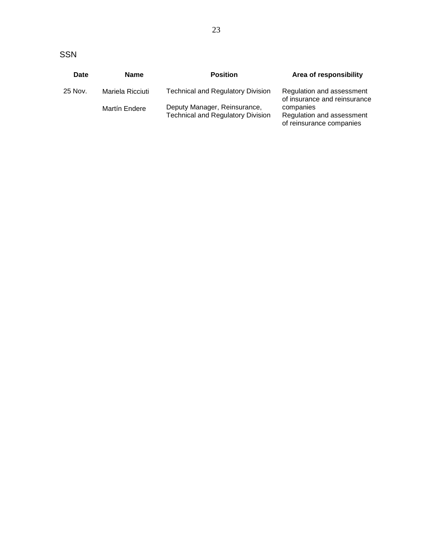| Date    | <b>Name</b>      | <b>Position</b>                                                          | Area of responsibility                                             |
|---------|------------------|--------------------------------------------------------------------------|--------------------------------------------------------------------|
| 25 Nov. | Mariela Ricciuti | <b>Technical and Regulatory Division</b>                                 | Regulation and assessment<br>of insurance and reinsurance          |
|         | Martín Endere    | Deputy Manager, Reinsurance,<br><b>Technical and Regulatory Division</b> | companies<br>Regulation and assessment<br>of reinsurance companies |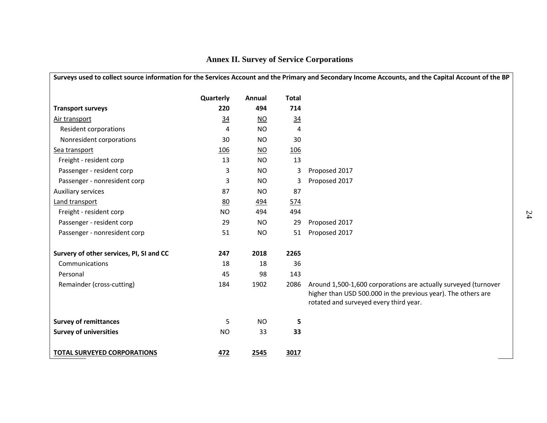| Surveys used to collect source information for the Services Account and the Primary and Secondary Income Accounts, and the Capital Account of the BP |                |                           |                |                                                                                                                                                                            |  |  |  |  |  |  |
|------------------------------------------------------------------------------------------------------------------------------------------------------|----------------|---------------------------|----------------|----------------------------------------------------------------------------------------------------------------------------------------------------------------------------|--|--|--|--|--|--|
|                                                                                                                                                      | Quarterly      | Annual                    | <b>Total</b>   |                                                                                                                                                                            |  |  |  |  |  |  |
| <b>Transport surveys</b>                                                                                                                             | 220            | 494                       | 714            |                                                                                                                                                                            |  |  |  |  |  |  |
| Air transport                                                                                                                                        | $\frac{34}{5}$ | $\underline{\mathsf{NO}}$ | $\frac{34}{5}$ |                                                                                                                                                                            |  |  |  |  |  |  |
| Resident corporations                                                                                                                                | 4              | <b>NO</b>                 | 4              |                                                                                                                                                                            |  |  |  |  |  |  |
| Nonresident corporations                                                                                                                             | 30             | <b>NO</b>                 | 30             |                                                                                                                                                                            |  |  |  |  |  |  |
| Sea transport                                                                                                                                        | 106            | $\underline{\mathsf{NO}}$ | 106            |                                                                                                                                                                            |  |  |  |  |  |  |
| Freight - resident corp                                                                                                                              | 13             | <b>NO</b>                 | 13             |                                                                                                                                                                            |  |  |  |  |  |  |
| Passenger - resident corp                                                                                                                            | 3              | <b>NO</b>                 | 3              | Proposed 2017                                                                                                                                                              |  |  |  |  |  |  |
| Passenger - nonresident corp                                                                                                                         | 3              | <b>NO</b>                 | 3              | Proposed 2017                                                                                                                                                              |  |  |  |  |  |  |
| Auxiliary services                                                                                                                                   | 87             | <b>NO</b>                 | 87             |                                                                                                                                                                            |  |  |  |  |  |  |
| Land transport                                                                                                                                       | 80             | 494                       | 574            |                                                                                                                                                                            |  |  |  |  |  |  |
| Freight - resident corp                                                                                                                              | NO.            | 494                       | 494            |                                                                                                                                                                            |  |  |  |  |  |  |
| Passenger - resident corp                                                                                                                            | 29             | <b>NO</b>                 | 29             | Proposed 2017                                                                                                                                                              |  |  |  |  |  |  |
| Passenger - nonresident corp                                                                                                                         | 51             | <b>NO</b>                 | 51             | Proposed 2017                                                                                                                                                              |  |  |  |  |  |  |
| Survery of other services, PI, SI and CC                                                                                                             | 247            | 2018                      | 2265           |                                                                                                                                                                            |  |  |  |  |  |  |
| Communications                                                                                                                                       | 18             | 18                        | 36             |                                                                                                                                                                            |  |  |  |  |  |  |
| Personal                                                                                                                                             | 45             | 98                        | 143            |                                                                                                                                                                            |  |  |  |  |  |  |
| Remainder (cross-cutting)                                                                                                                            | 184            | 1902                      | 2086           | Around 1,500-1,600 corporations are actually surveyed (turnover<br>higher than USD 500.000 in the previous year). The others are<br>rotated and surveyed every third year. |  |  |  |  |  |  |
| <b>Survey of remittances</b>                                                                                                                         | 5              | <b>NO</b>                 | 5              |                                                                                                                                                                            |  |  |  |  |  |  |
| <b>Survey of universities</b>                                                                                                                        | <b>NO</b>      | 33                        | 33             |                                                                                                                                                                            |  |  |  |  |  |  |
| <b>TOTAL SURVEYED CORPORATIONS</b>                                                                                                                   | 472            | 2545                      | 3017           |                                                                                                                                                                            |  |  |  |  |  |  |

## **Annex II. Survey of Service Corporations**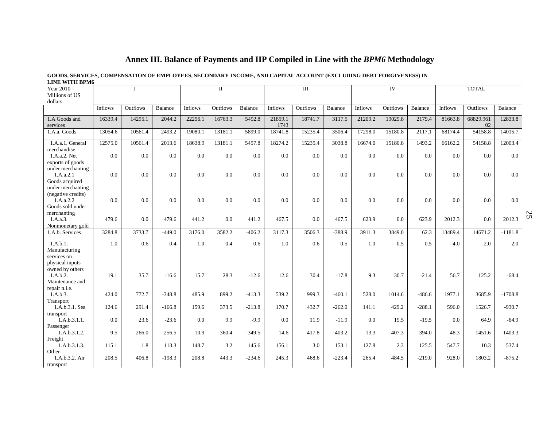#### **GOODS, SERVICES, COMPENSATION OF EMPLOYEES, SECONDARY INCOME, AND CAPITAL ACCOUNT (EXCLUDING DEBT FORGIVENESS) IN LINE WITH BPM6**

| Year 2010 -<br>Millions of US                                            |         |          |          | $\mathbf I$ |          |          | $\rm III$       |          |          |         | IV       |          | <b>TOTAL</b> |                 |           |
|--------------------------------------------------------------------------|---------|----------|----------|-------------|----------|----------|-----------------|----------|----------|---------|----------|----------|--------------|-----------------|-----------|
| dollars                                                                  |         |          |          |             |          |          |                 |          |          |         |          |          |              |                 |           |
|                                                                          | Inflows | Outflows | Balance  | Inflows     | Outflows | Balance  | Inflows         | Outflows | Balance  | Inflows | Outflows | Balance  | Inflows      | Outflows        | Balance   |
| 1.A Goods and<br>services                                                | 16339.4 | 14295.1  | 2044.2   | 22256.1     | 16763.3  | 5492.8   | 21859.1<br>1743 | 18741.7  | 3117.5   | 21209.2 | 19029.8  | 2179.4   | 81663.8      | 68829.961<br>02 | 12833.8   |
| 1.A.a. Goods                                                             | 13054.6 | 10561.4  | 2493.2   | 19080.1     | 13181.1  | 5899.0   | 18741.8         | 15235.4  | 3506.4   | 17298.0 | 15180.8  | 2117.1   | 68174.4      | 54158.8         | 14015.7   |
| 1.A.a.1. General                                                         | 12575.0 | 10561.4  | 2013.6   | 18638.9     | 13181.1  | 5457.8   | 18274.2         | 15235.4  | 3038.8   | 16674.0 | 15180.8  | 1493.2   | 66162.2      | 54158.8         | 12003.4   |
| merchandise<br>1.A.a.2. Net                                              | 0.0     | 0.0      | 0.0      | 0.0         | 0.0      | 0.0      | 0.0             | 0.0      | 0.0      | 0.0     | 0.0      | 0.0      | 0.0          | 0.0             | 0.0       |
| exports of goods                                                         |         |          |          |             |          |          |                 |          |          |         |          |          |              |                 |           |
| under merchanting<br>1.A.a.2.1<br>Goods acquired                         | 0.0     | 0.0      | 0.0      | 0.0         | 0.0      | 0.0      | 0.0             | 0.0      | 0.0      | 0.0     | 0.0      | 0.0      | 0.0          | 0.0             | 0.0       |
| under merchanting<br>(negative credits)<br>1.A.a.2.2<br>Goods sold under | 0.0     | 0.0      | 0.0      | 0.0         | 0.0      | 0.0      | 0.0             | 0.0      | 0.0      | 0.0     | 0.0      | 0.0      | 0.0          | 0.0             | 0.0       |
| merchanting<br>1.A.a.3.<br>Nonmonetary gold                              | 479.6   | 0.0      | 479.6    | 441.2       | 0.0      | 441.2    | 467.5           | 0.0      | 467.5    | 623.9   | 0.0      | 623.9    | 2012.3       | 0.0             | 2012.3    |
| 1.A.b. Services                                                          | 3284.8  | 3733.7   | $-449.0$ | 3176.0      | 3582.2   | $-406.2$ | 3117.3          | 3506.3   | $-388.9$ | 3911.3  | 3849.0   | 62.3     | 13489.4      | 14671.2         | $-1181.8$ |
| 1.A.b.1.<br>Manufacturing<br>services on                                 | 1.0     | 0.6      | 0.4      | 1.0         | 0.4      | 0.6      | 1.0             | 0.6      | 0.5      | 1.0     | 0.5      | 0.5      | 4.0          | 2.0             | 2.0       |
| physical inputs<br>owned by others<br>1.A.b.2.<br>Maintenance and        | 19.1    | 35.7     | $-16.6$  | 15.7        | 28.3     | $-12.6$  | 12.6            | 30.4     | $-17.8$  | 9.3     | 30.7     | $-21.4$  | 56.7         | 125.2           | $-68.4$   |
| repair n.i.e.<br>1.A.b.3.<br>Transport                                   | 424.0   | 772.7    | $-348.8$ | 485.9       | 899.2    | $-413.3$ | 539.2           | 999.3    | $-460.1$ | 528.0   | 1014.6   | $-486.6$ | 1977.1       | 3685.9          | $-1708.8$ |
| 1.A.b.3.1. Sea                                                           | 124.6   | 291.4    | $-166.8$ | 159.6       | 373.5    | $-213.8$ | 170.7           | 432.7    | $-262.0$ | 141.1   | 429.2    | $-288.1$ | 596.0        | 1526.7          | $-930.7$  |
| transport<br>1.A.b.3.1.1.                                                | 0.0     | 23.6     | $-23.6$  | 0.0         | 9.9      | $-9.9$   | 0.0             | 11.9     | $-11.9$  | 0.0     | 19.5     | $-19.5$  | 0.0          | 64.9            | $-64.9$   |
| Passenger                                                                |         |          |          |             |          |          |                 |          |          |         |          |          |              |                 |           |
| 1.A.b.3.1.2.<br>Freight                                                  | 9.5     | 266.0    | $-256.5$ | 10.9        | 360.4    | $-349.5$ | 14.6            | 417.8    | $-403.2$ | 13.3    | 407.3    | $-394.0$ | 48.3         | 1451.6          | $-1403.3$ |
| 1.A.b.3.1.3.                                                             | 115.1   | 1.8      | 113.3    | 148.7       | 3.2      | 145.6    | 156.1           | 3.0      | 153.1    | 127.8   | 2.3      | 125.5    | 547.7        | 10.3            | 537.4     |
| Other<br>1.A.b.3.2. Air<br>transport                                     | 208.5   | 406.8    | $-198.3$ | 208.8       | 443.3    | $-234.6$ | 245.3           | 468.6    | $-223.4$ | 265.4   | 484.5    | $-219.0$ | 928.0        | 1803.2          | $-875.2$  |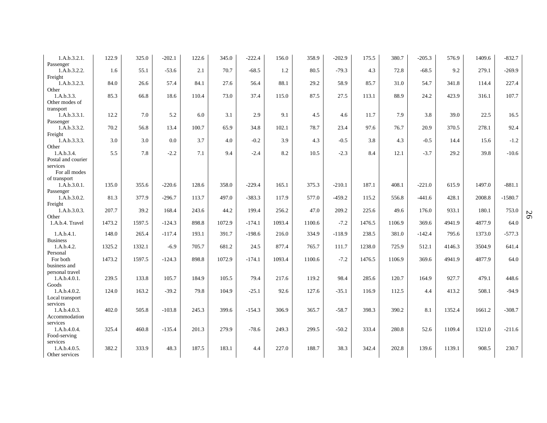| 1.A.b.3.2.1.<br>Passenger                  | 122.9  | 325.0  | $-202.1$ | 122.6 | 345.0  | $-222.4$ | 156.0  | 358.9  | $-202.9$ | 175.5  | 380.7  | $-205.3$ | 576.9  | 1409.6 | $-832.7$  |
|--------------------------------------------|--------|--------|----------|-------|--------|----------|--------|--------|----------|--------|--------|----------|--------|--------|-----------|
| 1.A.b.3.2.2.                               | 1.6    | 55.1   | $-53.6$  | 2.1   | 70.7   | $-68.5$  | 1.2    | 80.5   | $-79.3$  | 4.3    | 72.8   | $-68.5$  | 9.2    | 279.1  | $-269.9$  |
| Freight<br>1.A.b.3.2.3.                    | 84.0   | 26.6   | 57.4     | 84.1  | 27.6   | 56.4     | 88.1   | 29.2   | 58.9     | 85.7   | 31.0   | 54.7     | 341.8  | 114.4  | 227.4     |
| Other<br>1.A.b.3.3.<br>Other modes of      | 85.3   | 66.8   | 18.6     | 110.4 | 73.0   | 37.4     | 115.0  | 87.5   | 27.5     | 113.1  | 88.9   | 24.2     | 423.9  | 316.1  | 107.7     |
| transport<br>1.A.b.3.3.1.                  | 12.2   | 7.0    | 5.2      | 6.0   | 3.1    | 2.9      | 9.1    | 4.5    | 4.6      | 11.7   | 7.9    | 3.8      | 39.0   | 22.5   | 16.5      |
| Passenger<br>1.A.b.3.3.2.                  | 70.2   | 56.8   | 13.4     | 100.7 | 65.9   | 34.8     | 102.1  | 78.7   | 23.4     | 97.6   | 76.7   | 20.9     | 370.5  | 278.1  | 92.4      |
| Freight<br>1.A.b.3.3.3.                    | 3.0    | 3.0    | 0.0      | 3.7   | 4.0    | $-0.2$   | 3.9    | 4.3    | $-0.5$   | 3.8    | 4.3    | $-0.5$   | 14.4   | 15.6   | $-1.2$    |
| Other                                      |        |        |          |       |        |          |        |        |          | 8.4    |        |          |        | 39.8   |           |
| 1.A.b.3.4.<br>Postal and courier           | 5.5    | 7.8    | $-2.2$   | 7.1   | 9.4    | $-2.4$   | 8.2    | 10.5   | $-2.3$   |        | 12.1   | $-3.7$   | 29.2   |        | $-10.6$   |
| services<br>For all modes                  |        |        |          |       |        |          |        |        |          |        |        |          |        |        |           |
| of transport<br>1.A.b.3.0.1.               | 135.0  | 355.6  | $-220.6$ | 128.6 | 358.0  | $-229.4$ | 165.1  | 375.3  | $-210.1$ | 187.1  | 408.1  | $-221.0$ | 615.9  | 1497.0 | $-881.1$  |
| Passenger<br>1.A.b.3.0.2.                  | 81.3   | 377.9  | $-296.7$ | 113.7 | 497.0  | $-383.3$ | 117.9  | 577.0  | $-459.2$ | 115.2  | 556.8  | $-441.6$ | 428.1  | 2008.8 | $-1580.7$ |
| Freight<br>1.A.b.3.0.3.                    | 207.7  | 39.2   | 168.4    | 243.6 | 44.2   | 199.4    | 256.2  | 47.0   | 209.2    | 225.6  | 49.6   | 176.0    | 933.1  | 180.1  | 753.0     |
| Other<br>1.A.b.4. Travel                   | 1473.2 | 1597.5 | $-124.3$ | 898.8 | 1072.9 | $-174.1$ | 1093.4 | 1100.6 | $-7.2$   | 1476.5 | 1106.9 | 369.6    | 4941.9 | 4877.9 | 64.0      |
| 1.A.b.4.1.<br><b>Business</b>              | 148.0  | 265.4  | $-117.4$ | 193.1 | 391.7  | $-198.6$ | 216.0  | 334.9  | $-118.9$ | 238.5  | 381.0  | $-142.4$ | 795.6  | 1373.0 | $-577.3$  |
| 1.A.b.4.2.                                 | 1325.2 | 1332.1 | $-6.9$   | 705.7 | 681.2  | 24.5     | 877.4  | 765.7  | 111.7    | 1238.0 | 725.9  | 512.1    | 4146.3 | 3504.9 | 641.4     |
| Personal<br>For both<br>business and       | 1473.2 | 1597.5 | $-124.3$ | 898.8 | 1072.9 | $-174.1$ | 1093.4 | 1100.6 | $-7.2$   | 1476.5 | 1106.9 | 369.6    | 4941.9 | 4877.9 | 64.0      |
| personal travel                            |        |        |          |       |        |          |        |        |          |        |        |          |        |        |           |
| 1.A.b.4.0.1.<br>Goods                      | 239.5  | 133.8  | 105.7    | 184.9 | 105.5  | 79.4     | 217.6  | 119.2  | 98.4     | 285.6  | 120.7  | 164.9    | 927.7  | 479.1  | 448.6     |
| 1.A.b.4.0.2.<br>Local transport            | 124.0  | 163.2  | $-39.2$  | 79.8  | 104.9  | $-25.1$  | 92.6   | 127.6  | $-35.1$  | 116.9  | 112.5  | 4.4      | 413.2  | 508.1  | $-94.9$   |
| services<br>1.A.b.4.0.3.                   | 402.0  | 505.8  | $-103.8$ | 245.3 | 399.6  | $-154.3$ | 306.9  | 365.7  | $-58.7$  | 398.3  | 390.2  | 8.1      | 1352.4 | 1661.2 | $-308.7$  |
| Accommodation<br>services                  |        |        |          |       |        |          |        |        |          |        |        |          |        |        |           |
| 1.A.b.4.0.4.<br>Food-serving               | 325.4  | 460.8  | $-135.4$ | 201.3 | 279.9  | $-78.6$  | 249.3  | 299.5  | $-50.2$  | 333.4  | 280.8  | 52.6     | 1109.4 | 1321.0 | $-211.6$  |
| services<br>1.A.b.4.0.5.<br>Other services | 382.2  | 333.9  | 48.3     | 187.5 | 183.1  | 4.4      | 227.0  | 188.7  | 38.3     | 342.4  | 202.8  | 139.6    | 1139.1 | 908.5  | 230.7     |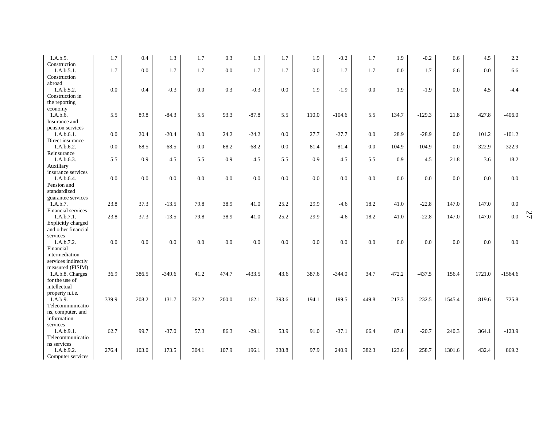| 1.A.b.5.                              | 1.7   | 0.4   | 1.3      | 1.7   | 0.3   | 1.3      | 1.7   | 1.9     | $-0.2$   | 1.7   | 1.9   | $-0.2$   | 6.6    | 4.5    | 2.2       |
|---------------------------------------|-------|-------|----------|-------|-------|----------|-------|---------|----------|-------|-------|----------|--------|--------|-----------|
| Construction<br>1.A.b.5.1.            | 1.7   | 0.0   | 1.7      | 1.7   | 0.0   | 1.7      | 1.7   | $0.0\,$ | 1.7      | 1.7   | 0.0   | 1.7      | 6.6    | 0.0    | 6.6       |
| Construction                          |       |       |          |       |       |          |       |         |          |       |       |          |        |        |           |
| abroad<br>1.A.b.5.2.                  | 0.0   | 0.4   | $-0.3$   | 0.0   | 0.3   | $-0.3$   | 0.0   | 1.9     | $-1.9$   | 0.0   | 1.9   | $-1.9$   | 0.0    | 4.5    | $-4.4$    |
| Construction in                       |       |       |          |       |       |          |       |         |          |       |       |          |        |        |           |
| the reporting                         |       |       |          |       |       |          |       |         |          |       |       |          |        |        |           |
| economy<br>1.A.b.6.                   | 5.5   | 89.8  | $-84.3$  | 5.5   | 93.3  | $-87.8$  | 5.5   | 110.0   | $-104.6$ | 5.5   | 134.7 | $-129.3$ | 21.8   | 427.8  | $-406.0$  |
| Insurance and                         |       |       |          |       |       |          |       |         |          |       |       |          |        |        |           |
| pension services                      |       |       |          |       |       |          |       |         |          |       |       |          |        |        |           |
| 1.A.b.6.1.<br>Direct insurance        | 0.0   | 20.4  | $-20.4$  | 0.0   | 24.2  | $-24.2$  | 0.0   | 27.7    | $-27.7$  | 0.0   | 28.9  | $-28.9$  | 0.0    | 101.2  | $-101.2$  |
| 1.A.b.6.2.                            | 0.0   | 68.5  | $-68.5$  | 0.0   | 68.2  | $-68.2$  | 0.0   | 81.4    | $-81.4$  | 0.0   | 104.9 | $-104.9$ | 0.0    | 322.9  | $-322.9$  |
| Reinsurance                           |       |       |          |       |       |          |       |         |          |       |       |          |        |        |           |
| 1.A.b.6.3.<br>Auxiliary               | 5.5   | 0.9   | 4.5      | 5.5   | 0.9   | 4.5      | 5.5   | 0.9     | 4.5      | 5.5   | 0.9   | 4.5      | 21.8   | 3.6    | 18.2      |
| insurance services                    |       |       |          |       |       |          |       |         |          |       |       |          |        |        |           |
| 1.A.b.6.4.                            | 0.0   | 0.0   | $0.0\,$  | 0.0   | 0.0   | 0.0      | 0.0   | $0.0\,$ | $0.0\,$  | 0.0   | 0.0   | 0.0      | 0.0    | 0.0    | 0.0       |
| Pension and<br>standardized           |       |       |          |       |       |          |       |         |          |       |       |          |        |        |           |
| guarantee services                    |       |       |          |       |       |          |       |         |          |       |       |          |        |        |           |
| 1.A.b.7.<br>Financial services        | 23.8  | 37.3  | $-13.5$  | 79.8  | 38.9  | 41.0     | 25.2  | 29.9    | $-4.6$   | 18.2  | 41.0  | $-22.8$  | 147.0  | 147.0  | 0.0       |
| 1.A.b.7.1.                            | 23.8  | 37.3  | $-13.5$  | 79.8  | 38.9  | 41.0     | 25.2  | 29.9    | $-4.6$   | 18.2  | 41.0  | $-22.8$  | 147.0  | 147.0  | 0.0       |
| Explicitly charged                    |       |       |          |       |       |          |       |         |          |       |       |          |        |        |           |
| and other financial<br>services       |       |       |          |       |       |          |       |         |          |       |       |          |        |        |           |
| 1.A.b.7.2.                            | 0.0   | 0.0   | 0.0      | 0.0   | 0.0   | 0.0      | 0.0   | 0.0     | 0.0      | 0.0   | 0.0   | 0.0      | 0.0    | 0.0    | 0.0       |
| Financial                             |       |       |          |       |       |          |       |         |          |       |       |          |        |        |           |
| intermediation<br>services indirectly |       |       |          |       |       |          |       |         |          |       |       |          |        |        |           |
| measured (FISIM)                      |       |       |          |       |       |          |       |         |          |       |       |          |        |        |           |
| 1.A.b.8. Charges                      | 36.9  | 386.5 | $-349.6$ | 41.2  | 474.7 | $-433.5$ | 43.6  | 387.6   | $-344.0$ | 34.7  | 472.2 | $-437.5$ | 156.4  | 1721.0 | $-1564.6$ |
| for the use of<br>intellectual        |       |       |          |       |       |          |       |         |          |       |       |          |        |        |           |
| property n.i.e.                       |       |       |          |       |       |          |       |         |          |       |       |          |        |        |           |
| 1.A.b.9.<br>Telecommunicatio          | 339.9 | 208.2 | 131.7    | 362.2 | 200.0 | 162.1    | 393.6 | 194.1   | 199.5    | 449.8 | 217.3 | 232.5    | 1545.4 | 819.6  | 725.8     |
| ns, computer, and                     |       |       |          |       |       |          |       |         |          |       |       |          |        |        |           |
| information                           |       |       |          |       |       |          |       |         |          |       |       |          |        |        |           |
| services<br>1.A.b.9.1.                | 62.7  | 99.7  | $-37.0$  | 57.3  | 86.3  | $-29.1$  | 53.9  | 91.0    | $-37.1$  | 66.4  | 87.1  | $-20.7$  | 240.3  | 364.1  | $-123.9$  |
| Telecommunicatio                      |       |       |          |       |       |          |       |         |          |       |       |          |        |        |           |
| ns services                           |       |       |          |       |       |          |       |         |          |       |       |          |        |        |           |
| 1.A.b.9.2.<br>Computer services       | 276.4 | 103.0 | 173.5    | 304.1 | 107.9 | 196.1    | 338.8 | 97.9    | 240.9    | 382.3 | 123.6 | 258.7    | 1301.6 | 432.4  | 869.2     |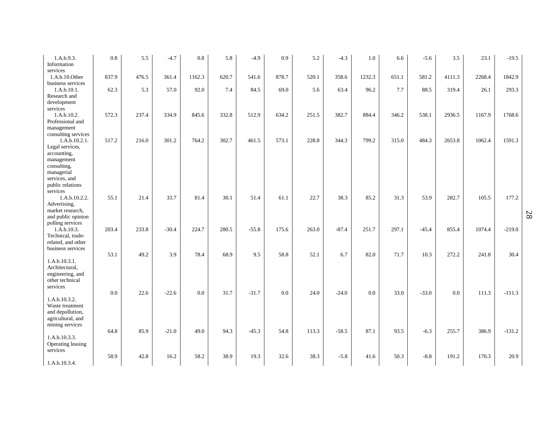| 1.A.b.9.3.<br>Information           | 0.8   | 5.5   | $-4.7$  | 0.8    | 5.8   | $-4.9$  | 0.9   | 5.2   | $-4.3$  | $1.0\,$ | 6.6   | $-5.6$  | 3.5    | 23.1   | $-19.5$  |
|-------------------------------------|-------|-------|---------|--------|-------|---------|-------|-------|---------|---------|-------|---------|--------|--------|----------|
| services                            |       |       |         |        |       |         |       |       |         |         |       |         |        |        |          |
| 1.A.b.10.Other                      | 837.9 | 476.5 | 361.4   | 1162.3 | 620.7 | 541.6   | 878.7 | 520.1 | 358.6   | 1232.3  | 651.1 | 581.2   | 4111.3 | 2268.4 | 1842.9   |
| business services                   |       |       |         |        |       |         |       |       |         |         |       |         |        |        |          |
| 1.A.b.10.1.                         | 62.3  | 5.3   | 57.0    | 92.0   | 7.4   | 84.5    | 69.0  | 5.6   | 63.4    | 96.2    | 7.7   | 88.5    | 319.4  | 26.1   | 293.3    |
| Research and                        |       |       |         |        |       |         |       |       |         |         |       |         |        |        |          |
| development<br>services             |       |       |         |        |       |         |       |       |         |         |       |         |        |        |          |
| 1.A.b.10.2.                         | 572.3 | 237.4 | 334.9   | 845.6  | 332.8 | 512.9   | 634.2 | 251.5 | 382.7   | 884.4   | 346.2 | 538.1   | 2936.5 | 1167.9 | 1768.6   |
| Professional and                    |       |       |         |        |       |         |       |       |         |         |       |         |        |        |          |
| management                          |       |       |         |        |       |         |       |       |         |         |       |         |        |        |          |
| consulting services                 |       |       |         |        |       |         |       |       |         |         |       |         |        |        |          |
| 1.A.b.10.2.1.                       | 517.2 | 216.0 | 301.2   | 764.2  | 302.7 | 461.5   | 573.1 | 228.8 | 344.3   | 799.2   | 315.0 | 484.3   | 2653.8 | 1062.4 | 1591.3   |
| Legal services,                     |       |       |         |        |       |         |       |       |         |         |       |         |        |        |          |
| accounting,                         |       |       |         |        |       |         |       |       |         |         |       |         |        |        |          |
| management                          |       |       |         |        |       |         |       |       |         |         |       |         |        |        |          |
| consulting,<br>managerial           |       |       |         |        |       |         |       |       |         |         |       |         |        |        |          |
| services, and                       |       |       |         |        |       |         |       |       |         |         |       |         |        |        |          |
| public relations                    |       |       |         |        |       |         |       |       |         |         |       |         |        |        |          |
| services                            |       |       |         |        |       |         |       |       |         |         |       |         |        |        |          |
| 1.A.b.10.2.2.                       | 55.1  | 21.4  | 33.7    | 81.4   | 30.1  | 51.4    | 61.1  | 22.7  | 38.3    | 85.2    | 31.3  | 53.9    | 282.7  | 105.5  | 177.2    |
| Advertising,                        |       |       |         |        |       |         |       |       |         |         |       |         |        |        |          |
| market research,                    |       |       |         |        |       |         |       |       |         |         |       |         |        |        |          |
| and public opinion                  |       |       |         |        |       |         |       |       |         |         |       |         |        |        |          |
| polling services<br>1.A.b.10.3.     | 203.4 | 233.8 | $-30.4$ | 224.7  | 280.5 | $-55.8$ | 175.6 | 263.0 | $-87.4$ | 251.7   | 297.1 | $-45.4$ | 855.4  | 1074.4 | $-219.0$ |
| Technical, trade-                   |       |       |         |        |       |         |       |       |         |         |       |         |        |        |          |
| related, and other                  |       |       |         |        |       |         |       |       |         |         |       |         |        |        |          |
| business services                   |       |       |         |        |       |         |       |       |         |         |       |         |        |        |          |
|                                     | 53.1  | 49.2  | 3.9     | 78.4   | 68.9  | 9.5     | 58.8  | 52.1  | 6.7     | 82.0    | 71.7  | 10.3    | 272.2  | 241.8  | 30.4     |
| 1.A.b.10.3.1.                       |       |       |         |        |       |         |       |       |         |         |       |         |        |        |          |
| Architectural,                      |       |       |         |        |       |         |       |       |         |         |       |         |        |        |          |
| engineering, and<br>other technical |       |       |         |        |       |         |       |       |         |         |       |         |        |        |          |
| services                            |       |       |         |        |       |         |       |       |         |         |       |         |        |        |          |
|                                     | 0.0   | 22.6  | $-22.6$ | 0.0    | 31.7  | $-31.7$ | 0.0   | 24.0  | $-24.0$ | 0.0     | 33.0  | $-33.0$ | 0.0    | 111.3  | $-111.3$ |
| 1.A.b.10.3.2.                       |       |       |         |        |       |         |       |       |         |         |       |         |        |        |          |
| Waste treatment                     |       |       |         |        |       |         |       |       |         |         |       |         |        |        |          |
| and depollution,                    |       |       |         |        |       |         |       |       |         |         |       |         |        |        |          |
| agricultural, and                   |       |       |         |        |       |         |       |       |         |         |       |         |        |        |          |
| mining services                     |       |       |         |        |       |         |       |       |         |         |       |         |        |        |          |
| 1.A.b.10.3.3.                       | 64.8  | 85.9  | $-21.0$ | 49.0   | 94.3  | $-45.3$ | 54.8  | 113.3 | $-58.5$ | 87.1    | 93.5  | $-6.3$  | 255.7  | 386.9  | $-131.2$ |
| Operating leasing                   |       |       |         |        |       |         |       |       |         |         |       |         |        |        |          |
| services                            |       |       |         |        |       |         |       |       |         |         |       |         |        |        |          |
|                                     | 58.9  | 42.8  | 16.2    | 58.2   | 38.9  | 19.3    | 32.6  | 38.3  | $-5.8$  | 41.6    | 50.3  | $-8.8$  | 191.2  | 170.3  | 20.9     |
| 1.A.b.10.3.4.                       |       |       |         |        |       |         |       |       |         |         |       |         |        |        |          |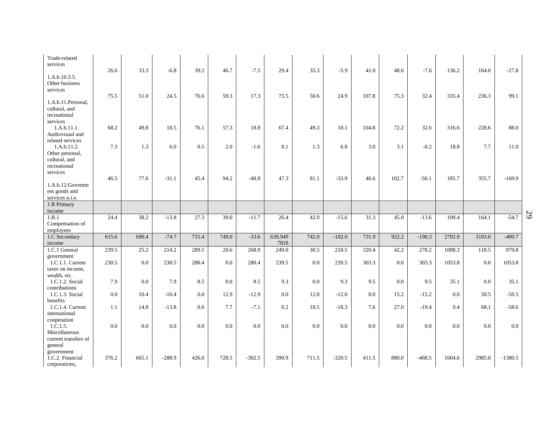| Trade-related<br>services                            |       |       |          |       |       |          |                 |       |          |         |       |          |        |        |           |
|------------------------------------------------------|-------|-------|----------|-------|-------|----------|-----------------|-------|----------|---------|-------|----------|--------|--------|-----------|
| 1.A.b.10.3.5.                                        | 26.6  | 33.3  | $-6.8$   | 39.2  | 46.7  | $-7.5$   | 29.4            | 35.3  | $-5.9$   | 41.0    | 48.6  | $-7.6$   | 136.2  | 164.0  | $-27.8$   |
| Other business<br>services                           |       |       |          |       |       |          |                 |       |          |         |       |          |        |        |           |
|                                                      | 75.5  | 51.0  | 24.5     | 76.6  | 59.3  | 17.3     | 75.5            | 50.6  | 24.9     | 107.8   | 75.3  | 32.4     | 335.4  | 236.3  | 99.1      |
| 1.A.b.11. Personal.<br>cultural, and<br>recreational |       |       |          |       |       |          |                 |       |          |         |       |          |        |        |           |
| services<br>1.A.b.11.1.                              | 68.2  | 49.8  | 18.5     | 76.1  | 57.3  | 18.8     | 67.4            | 49.3  | 18.1     | 104.8   | 72.2  | 32.6     | 316.6  | 228.6  | 88.0      |
| Audiovisual and<br>related services                  |       |       |          |       |       |          |                 |       |          |         |       |          |        |        |           |
| 1.A.b.11.2.<br>Other personal,                       | 7.3   | 1.3   | 6.0      | 0.5   | 2.0   | $-1.6$   | 8.1             | 1.3   | 6.8      | 3.0     | 3.1   | $-0.2$   | 18.8   | 7.7    | 11.0      |
| cultural, and<br>recreational                        |       |       |          |       |       |          |                 |       |          |         |       |          |        |        |           |
| services                                             | 46.5  | 77.6  | $-31.1$  | 45.4  | 94.2  | $-48.8$  | 47.3            | 81.1  | $-33.9$  | 46.6    | 102.7 | $-56.1$  | 185.7  | 355.7  | $-169.9$  |
| 1.A.b.12.Governm<br>ent goods and                    |       |       |          |       |       |          |                 |       |          |         |       |          |        |        |           |
| services n.i.e.                                      |       |       |          |       |       |          |                 |       |          |         |       |          |        |        |           |
| 1.B Primary<br>income                                |       |       |          |       |       |          |                 |       |          |         |       |          |        |        |           |
| 1.B.1                                                | 24.4  | 38.2  | $-13.8$  | 27.3  | 39.0  | $-11.7$  | 26.4            | 42.0  | $-15.6$  | 31.3    | 45.0  | $-13.6$  | 109.4  | 164.1  | $-54.7$   |
| Compensation of<br>employees                         |       |       |          |       |       |          |                 |       |          |         |       |          |        |        |           |
| 1.C Secondary<br>income                              | 615.6 | 690.4 | $-74.7$  | 715.4 | 749.0 | $-33.6$  | 639.949<br>7818 | 742.0 | $-102.0$ | 731.9   | 922.2 | $-190.3$ | 2702.9 | 3103.6 | $-400.7$  |
| 1.C.1 General                                        | 239.5 | 25.2  | 214.2    | 289.5 | 20.6  | 268.9    | 249.0           | 30.5  | 218.5    | 320.4   | 42.2  | 278.2    | 1098.3 | 118.5  | 979.8     |
| government<br>1.C.1.1. Current                       | 230.5 | 0.0   | 230.5    | 280.4 | 0.0   | 280.4    | 239.5           | 0.0   | 239.5    | 303.3   | 0.0   | 303.3    | 1053.8 | 0.0    | 1053.8    |
| taxes on income,<br>wealth, etc.                     |       |       |          |       |       |          |                 |       |          |         |       |          |        |        |           |
| 1.C.1.2. Social<br>contributions                     | 7.9   | 0.0   | 7.9      | 8.5   | 0.0   | 8.5      | 9.3             | 0.0   | 9.3      | 9.5     | 0.0   | 9.5      | 35.1   | 0.0    | 35.1      |
| 1.C.1.3. Social                                      | 0.0   | 10.4  | $-10.4$  | 0.0   | 12.9  | $-12.9$  | 0.0             | 12.0  | $-12.0$  | $0.0\,$ | 15.2  | $-15.2$  | 0.0    | 50.5   | $-50.5$   |
| benefits<br>1.C.1.4. Current                         | 1.1   | 14.8  | $-13.8$  | 0.6   | 7.7   | $-7.1$   | 0.2             | 18.5  | $-18.3$  | 7.6     | 27.0  | $-19.4$  | 9.4    | 68.1   | $-58.6$   |
| international<br>cooperation                         |       |       |          |       |       |          |                 |       |          |         |       |          |        |        |           |
| 1.C.1.5.                                             | 0.0   | 0.0   | 0.0      | 0.0   | 0.0   | 0.0      | 0.0             | 0.0   | 0.0      | 0.0     | 0.0   | 0.0      | 0.0    | 0.0    | 0.0       |
| Miscellaneous<br>current transfers of                |       |       |          |       |       |          |                 |       |          |         |       |          |        |        |           |
| general                                              |       |       |          |       |       |          |                 |       |          |         |       |          |        |        |           |
| government<br>1.C.2. Financial<br>corporations.      | 376.2 | 665.1 | $-288.9$ | 426.0 | 728.5 | $-302.5$ | 390.9           | 711.5 | $-320.5$ | 411.5   | 880.0 | $-468.5$ | 1604.6 | 2985.0 | $-1380.5$ |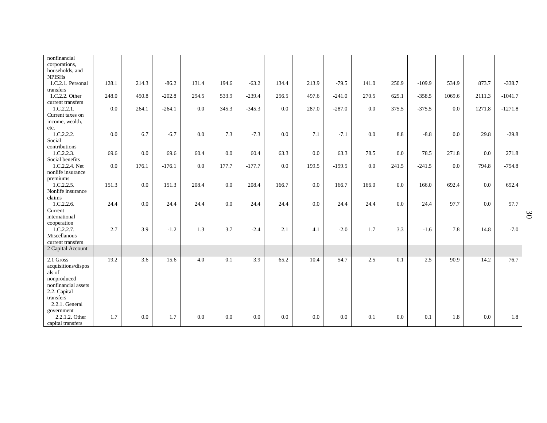| nonfinancial<br>corporations,      |       |         |          |       |       |          |       |       |          |       |           |          |        |        |           |
|------------------------------------|-------|---------|----------|-------|-------|----------|-------|-------|----------|-------|-----------|----------|--------|--------|-----------|
| households, and                    |       |         |          |       |       |          |       |       |          |       |           |          |        |        |           |
| <b>NPISHs</b><br>1.C.2.1. Personal | 128.1 | 214.3   | $-86.2$  | 131.4 | 194.6 | $-63.2$  | 134.4 | 213.9 | $-79.5$  | 141.0 | 250.9     | $-109.9$ | 534.9  | 873.7  | $-338.7$  |
| transfers<br>1.C.2.2. Other        | 248.0 | 450.8   | $-202.8$ | 294.5 | 533.9 | $-239.4$ | 256.5 | 497.6 | $-241.0$ | 270.5 | 629.1     | $-358.5$ | 1069.6 | 2111.3 | $-1041.7$ |
| current transfers<br>1.C.2.2.1.    | 0.0   | 264.1   | $-264.1$ | 0.0   | 345.3 | $-345.3$ | 0.0   | 287.0 | $-287.0$ | 0.0   | 375.5     | $-375.5$ | 0.0    | 1271.8 | $-1271.8$ |
| Current taxes on                   |       |         |          |       |       |          |       |       |          |       |           |          |        |        |           |
| income, wealth,<br>etc.            |       |         |          |       |       |          |       |       |          |       |           |          |        |        |           |
| 1.C.2.2.2.                         | 0.0   | 6.7     | $-6.7$   | 0.0   | 7.3   | $-7.3$   | 0.0   | 7.1   | $-7.1$   | 0.0   | $\ \ 8.8$ | $-8.8$   | 0.0    | 29.8   | $-29.8$   |
| Social                             |       |         |          |       |       |          |       |       |          |       |           |          |        |        |           |
| contributions<br>1.C.2.2.3.        | 69.6  | 0.0     | 69.6     | 60.4  | 0.0   | 60.4     | 63.3  | 0.0   | 63.3     | 78.5  | 0.0       | 78.5     | 271.8  | 0.0    | 271.8     |
| Social benefits                    |       |         |          |       |       |          |       |       |          |       |           |          |        |        |           |
| 1.C.2.2.4. Net                     | 0.0   | 176.1   | $-176.1$ | 0.0   | 177.7 | $-177.7$ | 0.0   | 199.5 | $-199.5$ | 0.0   | 241.5     | $-241.5$ | 0.0    | 794.8  | $-794.8$  |
| nonlife insurance                  |       |         |          |       |       |          |       |       |          |       |           |          |        |        |           |
| premiums                           |       |         |          |       |       |          |       |       |          |       |           |          |        |        |           |
| 1.C.2.2.5.                         | 151.3 | $0.0\,$ | 151.3    | 208.4 | 0.0   | 208.4    | 166.7 | 0.0   | 166.7    | 166.0 | $0.0\,$   | 166.0    | 692.4  | 0.0    | 692.4     |
| Nonlife insurance                  |       |         |          |       |       |          |       |       |          |       |           |          |        |        |           |
| claims<br>1.C.2.2.6.               | 24.4  | 0.0     | 24.4     | 24.4  | 0.0   | 24.4     | 24.4  | 0.0   | 24.4     | 24.4  | 0.0       | 24.4     | 97.7   | 0.0    | 97.7      |
| Current                            |       |         |          |       |       |          |       |       |          |       |           |          |        |        |           |
| international                      |       |         |          |       |       |          |       |       |          |       |           |          |        |        |           |
| cooperation                        |       |         |          |       |       |          |       |       |          |       |           |          |        |        |           |
| 1.C.2.2.7.                         | 2.7   | 3.9     | $-1.2$   | 1.3   | 3.7   | $-2.4$   | 2.1   | 4.1   | $-2.0$   | 1.7   | 3.3       | $-1.6$   | 7.8    | 14.8   | $-7.0$    |
| Miscellanous                       |       |         |          |       |       |          |       |       |          |       |           |          |        |        |           |
| current transfers                  |       |         |          |       |       |          |       |       |          |       |           |          |        |        |           |
| 2 Capital Account                  |       |         |          |       |       |          |       |       |          |       |           |          |        |        |           |
| 2.1 Gross                          | 19.2  | 3.6     | 15.6     | 4.0   | 0.1   | 3.9      | 65.2  | 10.4  | 54.7     | 2.5   | 0.1       | 2.5      | 90.9   | 14.2   | 76.7      |
| acquisitions/dispos                |       |         |          |       |       |          |       |       |          |       |           |          |        |        |           |
| als of                             |       |         |          |       |       |          |       |       |          |       |           |          |        |        |           |
| nonproduced                        |       |         |          |       |       |          |       |       |          |       |           |          |        |        |           |
| nonfinancial assets                |       |         |          |       |       |          |       |       |          |       |           |          |        |        |           |
| 2.2. Capital                       |       |         |          |       |       |          |       |       |          |       |           |          |        |        |           |
| transfers                          |       |         |          |       |       |          |       |       |          |       |           |          |        |        |           |
| 2.2.1. General                     |       |         |          |       |       |          |       |       |          |       |           |          |        |        |           |
| government                         |       |         |          |       |       |          |       |       |          |       |           |          |        |        |           |
| 2.2.1.2. Other                     | 1.7   | 0.0     | 1.7      | 0.0   | 0.0   | 0.0      | 0.0   | 0.0   | 0.0      | 0.1   | 0.0       | 0.1      | 1.8    | 0.0    | 1.8       |
| capital transfers                  |       |         |          |       |       |          |       |       |          |       |           |          |        |        |           |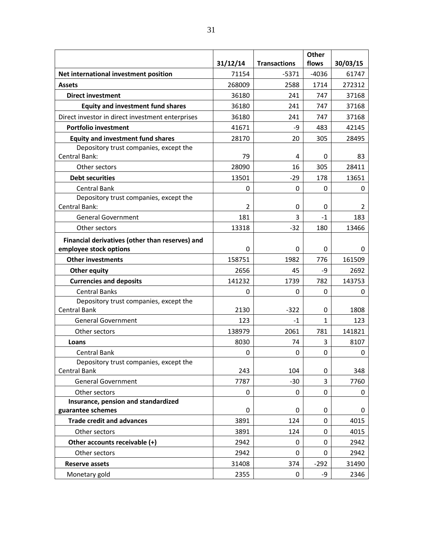|                                                          |          |                     | Other    |          |
|----------------------------------------------------------|----------|---------------------|----------|----------|
|                                                          | 31/12/14 | <b>Transactions</b> | flows    | 30/03/15 |
| Net international investment position                    | 71154    | $-5371$             | $-4036$  | 61747    |
| <b>Assets</b>                                            | 268009   | 2588                | 1714     | 272312   |
| <b>Direct investment</b>                                 | 36180    | 241                 | 747      | 37168    |
| <b>Equity and investment fund shares</b>                 | 36180    | 241                 | 747      | 37168    |
| Direct investor in direct investment enterprises         | 36180    | 241                 | 747      | 37168    |
| <b>Portfolio investment</b>                              | 41671    | -9                  | 483      | 42145    |
| <b>Equity and investment fund shares</b>                 | 28170    | 20                  | 305      | 28495    |
| Depository trust companies, except the                   |          |                     |          |          |
| Central Bank:                                            | 79       | 4                   | 0        | 83       |
| Other sectors                                            | 28090    | 16                  | 305      | 28411    |
| <b>Debt securities</b>                                   | 13501    | $-29$               | 178      | 13651    |
| <b>Central Bank</b>                                      | 0        | 0                   | 0        | 0        |
| Depository trust companies, except the                   |          |                     |          |          |
| Central Bank:                                            | 2        | 0                   | 0        | 2        |
| <b>General Government</b>                                | 181      | 3                   | $-1$     | 183      |
| Other sectors                                            | 13318    | -32                 | 180      | 13466    |
| Financial derivatives (other than reserves) and          |          |                     |          |          |
| employee stock options                                   | 0        | 0                   | 0        | 0        |
| <b>Other investments</b>                                 | 158751   | 1982                | 776      | 161509   |
| <b>Other equity</b>                                      | 2656     | 45                  | -9       | 2692     |
| <b>Currencies and deposits</b>                           | 141232   | 1739                | 782      | 143753   |
| <b>Central Banks</b>                                     | 0        | 0                   | 0        | 0        |
| Depository trust companies, except the                   |          |                     |          |          |
| <b>Central Bank</b>                                      | 2130     | -322                | 0        | 1808     |
| <b>General Government</b>                                | 123      | $-1$                | 1        | 123      |
| Other sectors                                            | 138979   | 2061                | 781      | 141821   |
| Loans                                                    | 8030     | 74                  | 3        | 8107     |
| <b>Central Bank</b>                                      | 0        | 0                   | 0        | 0        |
| Depository trust companies, except the                   |          |                     |          |          |
| <b>Central Bank</b>                                      | 243      | 104                 | 0        | 348      |
| <b>General Government</b>                                | 7787     | $-30$               | 3        | 7760     |
| Other sectors                                            | 0        | 0                   | 0        | 0        |
| Insurance, pension and standardized<br>guarantee schemes | 0        | 0                   | 0        | 0        |
| <b>Trade credit and advances</b>                         | 3891     | 124                 | $\Omega$ | 4015     |
| Other sectors                                            | 3891     | 124                 | 0        | 4015     |
| Other accounts receivable (+)                            | 2942     | 0                   | 0        | 2942     |
| Other sectors                                            | 2942     | 0                   | 0        |          |
|                                                          |          |                     |          | 2942     |
| <b>Reserve assets</b>                                    | 31408    | 374                 | $-292$   | 31490    |
| Monetary gold                                            | 2355     | 0                   | $-9$     | 2346     |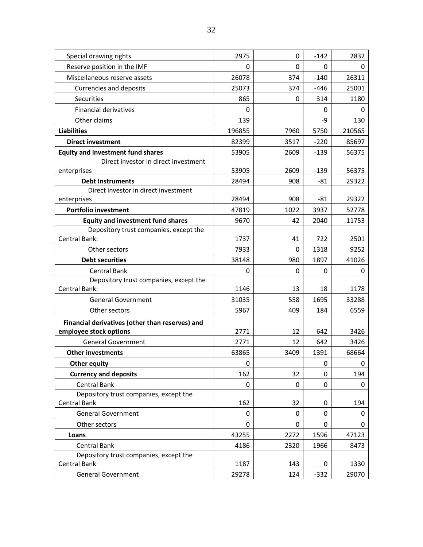| Special drawing rights                          | 2975   | 0    | $-142$ | 2832   |
|-------------------------------------------------|--------|------|--------|--------|
| Reserve position in the IMF                     | 0      | 0    | 0      | 0      |
| Miscellaneous reserve assets                    | 26078  | 374  | $-140$ | 26311  |
| <b>Currencies and deposits</b>                  | 25073  | 374  | $-446$ | 25001  |
| Securities                                      | 865    | 0    | 314    | 1180   |
| <b>Financial derivatives</b>                    | 0      |      | 0      | 0      |
| Other claims                                    | 139    |      | -9     | 130    |
| <b>Liabilities</b>                              | 196855 | 7960 | 5750   | 210565 |
| <b>Direct investment</b>                        | 82399  | 3517 | $-220$ | 85697  |
| <b>Equity and investment fund shares</b>        | 53905  | 2609 | $-139$ | 56375  |
| Direct investor in direct investment            |        |      |        |        |
| enterprises                                     | 53905  | 2609 | $-139$ | 56375  |
| <b>Debt Instruments</b>                         | 28494  | 908  | $-81$  | 29322  |
| Direct investor in direct investment            |        |      |        |        |
| enterprises                                     | 28494  | 908  | $-81$  | 29322  |
| <b>Portfolio investment</b>                     | 47819  | 1022 | 3937   | 52778  |
| <b>Equity and investment fund shares</b>        | 9670   | 42   | 2040   | 11753  |
| Depository trust companies, except the          |        |      |        |        |
| Central Bank:                                   | 1737   | 41   | 722    | 2501   |
| Other sectors                                   | 7933   | 0    | 1318   | 9252   |
| <b>Debt securities</b>                          | 38148  | 980  | 1897   | 41026  |
| <b>Central Bank</b>                             | 0      | 0    | 0      | 0      |
| Depository trust companies, except the          |        |      |        |        |
| Central Bank:                                   | 1146   | 13   | 18     | 1178   |
| <b>General Government</b>                       | 31035  | 558  | 1695   | 33288  |
| Other sectors                                   | 5967   | 409  | 184    | 6559   |
| Financial derivatives (other than reserves) and |        |      |        |        |
| employee stock options                          | 2771   | 12   | 642    | 3426   |
| <b>General Government</b>                       | 2771   | 12   | 642    | 3426   |
| <b>Other investments</b>                        | 63865  | 3409 | 1391   | 68664  |
| <b>Other equity</b>                             | 0      |      | 0      | 0      |
| <b>Currency and deposits</b>                    | 162    | 32   | 0      | 194    |
| Central Bank                                    | 0      | 0    | 0      | 0      |
| Depository trust companies, except the          |        |      |        |        |
| <b>Central Bank</b>                             | 162    | 32   | 0      | 194    |
| <b>General Government</b>                       | 0      | 0    | 0      | 0      |
| Other sectors                                   | 0      | 0    | 0      | 0      |
| Loans                                           | 43255  | 2272 | 1596   | 47123  |
| <b>Central Bank</b>                             | 4186   | 2320 | 1966   | 8473   |
| Depository trust companies, except the          |        |      |        |        |
| Central Bank                                    | 1187   | 143  | 0      | 1330   |
| <b>General Government</b>                       | 29278  | 124  | $-332$ | 29070  |